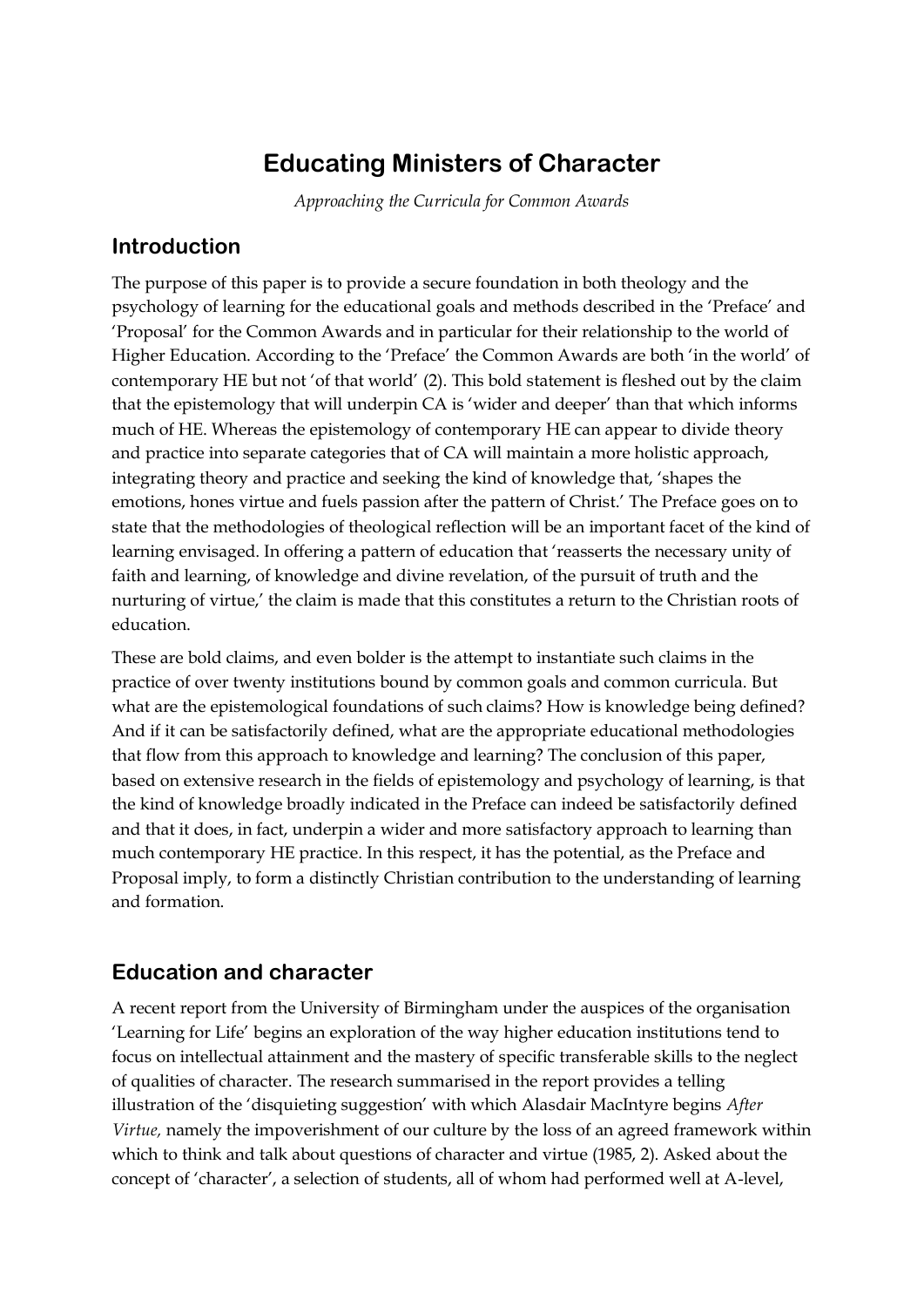# **Educating Ministers of Character**

*Approaching the Curricula for Common Awards*

### **Introduction**

The purpose of this paper is to provide a secure foundation in both theology and the psychology of learning for the educational goals and methods described in the 'Preface' and 'Proposal' for the Common Awards and in particular for their relationship to the world of Higher Education. According to the 'Preface' the Common Awards are both 'in the world' of contemporary HE but not 'of that world' (2). This bold statement is fleshed out by the claim that the epistemology that will underpin CA is 'wider and deeper' than that which informs much of HE. Whereas the epistemology of contemporary HE can appear to divide theory and practice into separate categories that of CA will maintain a more holistic approach, integrating theory and practice and seeking the kind of knowledge that, 'shapes the emotions, hones virtue and fuels passion after the pattern of Christ.' The Preface goes on to state that the methodologies of theological reflection will be an important facet of the kind of learning envisaged. In offering a pattern of education that 'reasserts the necessary unity of faith and learning, of knowledge and divine revelation, of the pursuit of truth and the nurturing of virtue,' the claim is made that this constitutes a return to the Christian roots of education.

These are bold claims, and even bolder is the attempt to instantiate such claims in the practice of over twenty institutions bound by common goals and common curricula. But what are the epistemological foundations of such claims? How is knowledge being defined? And if it can be satisfactorily defined, what are the appropriate educational methodologies that flow from this approach to knowledge and learning? The conclusion of this paper, based on extensive research in the fields of epistemology and psychology of learning, is that the kind of knowledge broadly indicated in the Preface can indeed be satisfactorily defined and that it does, in fact, underpin a wider and more satisfactory approach to learning than much contemporary HE practice. In this respect, it has the potential, as the Preface and Proposal imply, to form a distinctly Christian contribution to the understanding of learning and formation.

## **Education and character**

A recent report from the University of Birmingham under the auspices of the organisation 'Learning for Life' begins an exploration of the way higher education institutions tend to focus on intellectual attainment and the mastery of specific transferable skills to the neglect of qualities of character. The research summarised in the report provides a telling illustration of the 'disquieting suggestion' with which Alasdair MacIntyre begins *After Virtue,* namely the impoverishment of our culture by the loss of an agreed framework within which to think and talk about questions of character and virtue (1985, 2). Asked about the concept of 'character', a selection of students, all of whom had performed well at A-level,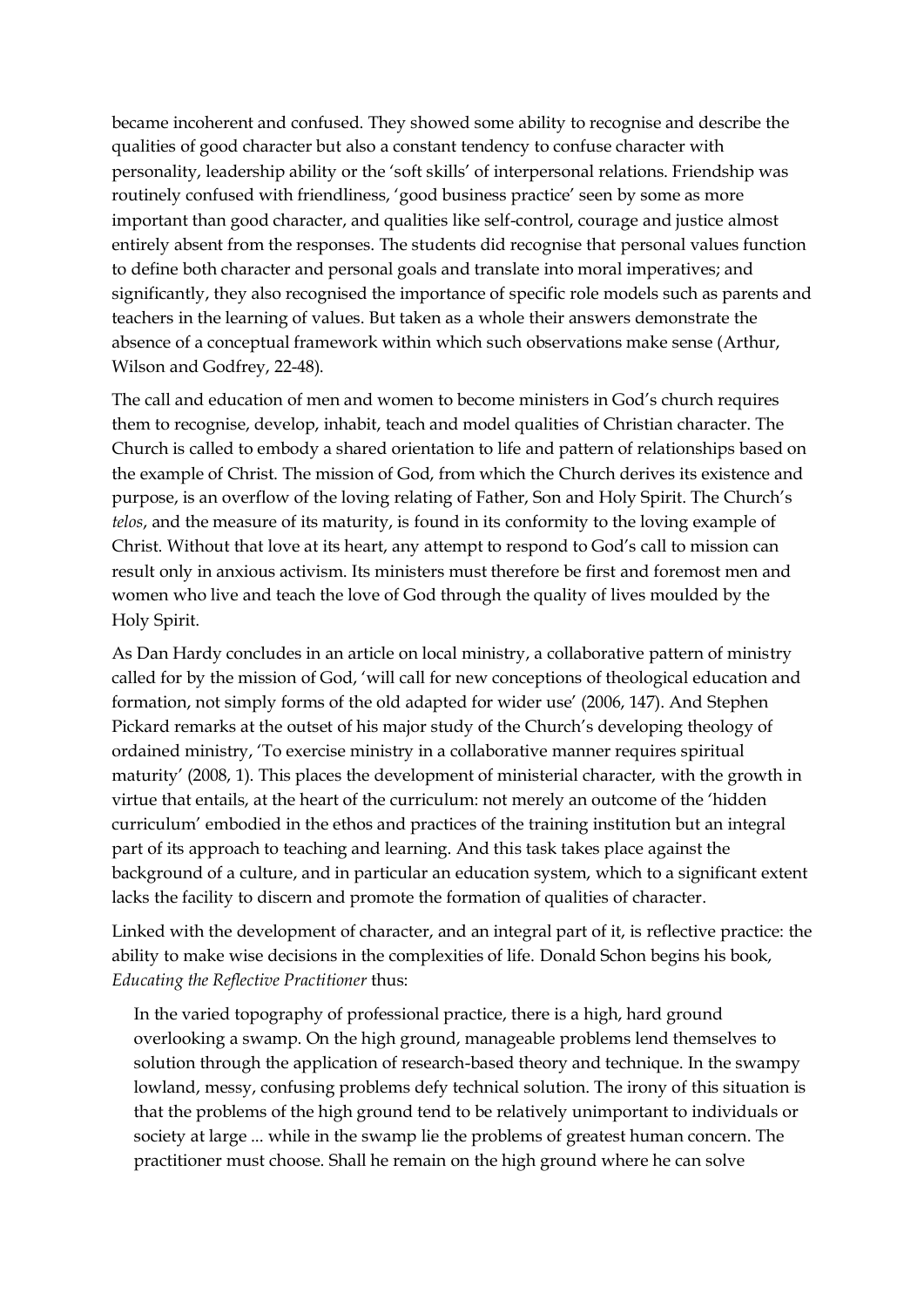became incoherent and confused. They showed some ability to recognise and describe the qualities of good character but also a constant tendency to confuse character with personality, leadership ability or the 'soft skills' of interpersonal relations. Friendship was routinely confused with friendliness, 'good business practice' seen by some as more important than good character, and qualities like self-control, courage and justice almost entirely absent from the responses. The students did recognise that personal values function to define both character and personal goals and translate into moral imperatives; and significantly, they also recognised the importance of specific role models such as parents and teachers in the learning of values. But taken as a whole their answers demonstrate the absence of a conceptual framework within which such observations make sense (Arthur, Wilson and Godfrey, 22-48).

The call and education of men and women to become ministers in God's church requires them to recognise, develop, inhabit, teach and model qualities of Christian character. The Church is called to embody a shared orientation to life and pattern of relationships based on the example of Christ. The mission of God, from which the Church derives its existence and purpose, is an overflow of the loving relating of Father, Son and Holy Spirit. The Church's *telos*, and the measure of its maturity, is found in its conformity to the loving example of Christ. Without that love at its heart, any attempt to respond to God's call to mission can result only in anxious activism. Its ministers must therefore be first and foremost men and women who live and teach the love of God through the quality of lives moulded by the Holy Spirit.

As Dan Hardy concludes in an article on local ministry, a collaborative pattern of ministry called for by the mission of God, 'will call for new conceptions of theological education and formation, not simply forms of the old adapted for wider use' (2006, 147). And Stephen Pickard remarks at the outset of his major study of the Church's developing theology of ordained ministry, 'To exercise ministry in a collaborative manner requires spiritual maturity' (2008, 1). This places the development of ministerial character, with the growth in virtue that entails, at the heart of the curriculum: not merely an outcome of the 'hidden curriculum' embodied in the ethos and practices of the training institution but an integral part of its approach to teaching and learning. And this task takes place against the background of a culture, and in particular an education system, which to a significant extent lacks the facility to discern and promote the formation of qualities of character.

Linked with the development of character, and an integral part of it, is reflective practice: the ability to make wise decisions in the complexities of life. Donald Schon begins his book, *Educating the Reflective Practitioner* thus:

In the varied topography of professional practice, there is a high, hard ground overlooking a swamp. On the high ground, manageable problems lend themselves to solution through the application of research-based theory and technique. In the swampy lowland, messy, confusing problems defy technical solution. The irony of this situation is that the problems of the high ground tend to be relatively unimportant to individuals or society at large ... while in the swamp lie the problems of greatest human concern. The practitioner must choose. Shall he remain on the high ground where he can solve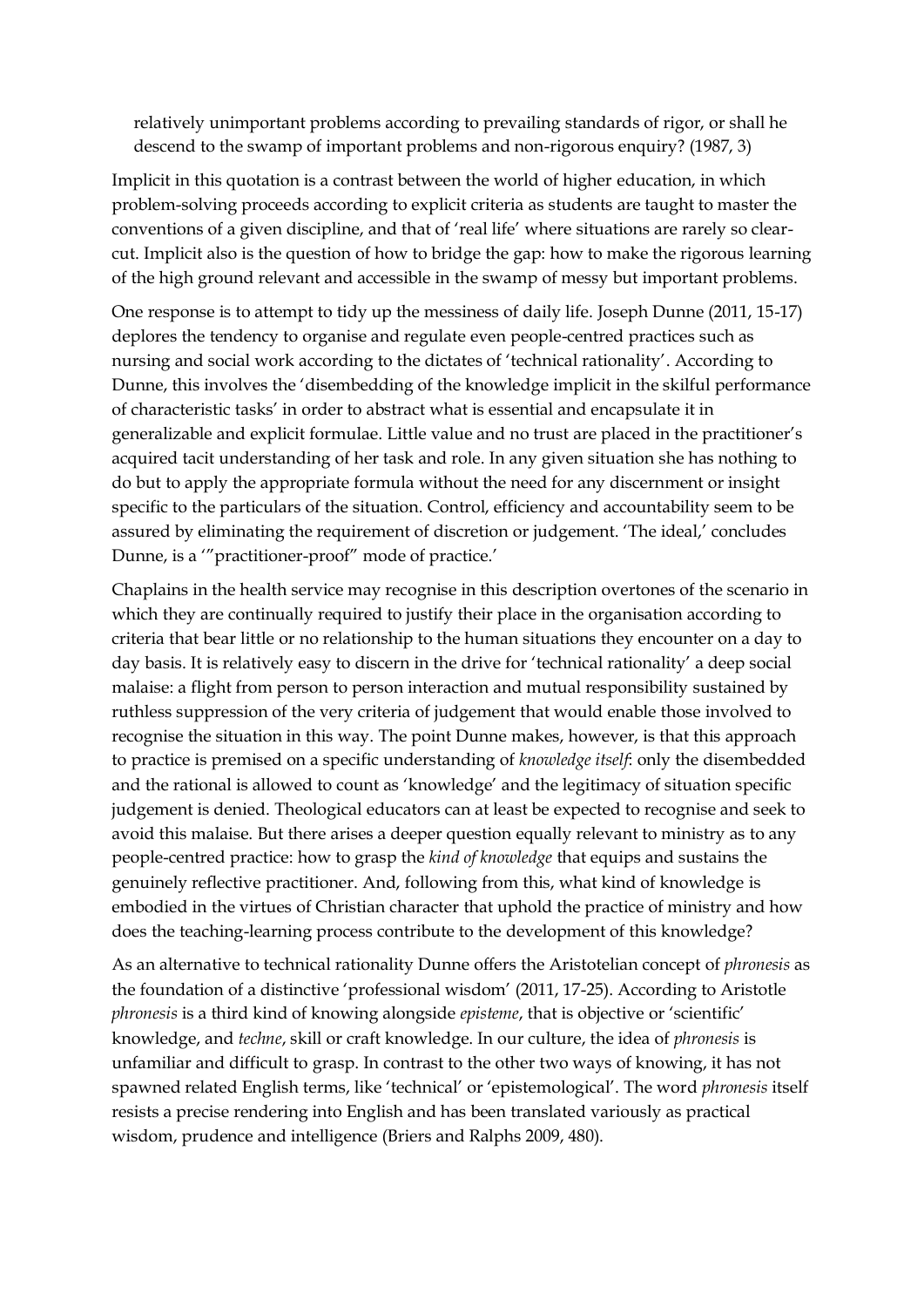relatively unimportant problems according to prevailing standards of rigor, or shall he descend to the swamp of important problems and non-rigorous enquiry? (1987, 3)

Implicit in this quotation is a contrast between the world of higher education, in which problem-solving proceeds according to explicit criteria as students are taught to master the conventions of a given discipline, and that of 'real life' where situations are rarely so clearcut. Implicit also is the question of how to bridge the gap: how to make the rigorous learning of the high ground relevant and accessible in the swamp of messy but important problems.

One response is to attempt to tidy up the messiness of daily life. Joseph Dunne (2011, 15-17) deplores the tendency to organise and regulate even people-centred practices such as nursing and social work according to the dictates of 'technical rationality'. According to Dunne, this involves the 'disembedding of the knowledge implicit in the skilful performance of characteristic tasks' in order to abstract what is essential and encapsulate it in generalizable and explicit formulae. Little value and no trust are placed in the practitioner's acquired tacit understanding of her task and role. In any given situation she has nothing to do but to apply the appropriate formula without the need for any discernment or insight specific to the particulars of the situation. Control, efficiency and accountability seem to be assured by eliminating the requirement of discretion or judgement. 'The ideal,' concludes Dunne, is a '"practitioner-proof" mode of practice.'

Chaplains in the health service may recognise in this description overtones of the scenario in which they are continually required to justify their place in the organisation according to criteria that bear little or no relationship to the human situations they encounter on a day to day basis. It is relatively easy to discern in the drive for 'technical rationality' a deep social malaise: a flight from person to person interaction and mutual responsibility sustained by ruthless suppression of the very criteria of judgement that would enable those involved to recognise the situation in this way. The point Dunne makes, however, is that this approach to practice is premised on a specific understanding of *knowledge itself*: only the disembedded and the rational is allowed to count as 'knowledge' and the legitimacy of situation specific judgement is denied. Theological educators can at least be expected to recognise and seek to avoid this malaise. But there arises a deeper question equally relevant to ministry as to any people-centred practice: how to grasp the *kind of knowledge* that equips and sustains the genuinely reflective practitioner. And, following from this, what kind of knowledge is embodied in the virtues of Christian character that uphold the practice of ministry and how does the teaching-learning process contribute to the development of this knowledge?

As an alternative to technical rationality Dunne offers the Aristotelian concept of *phronesis* as the foundation of a distinctive 'professional wisdom' (2011, 17-25). According to Aristotle *phronesis* is a third kind of knowing alongside *episteme*, that is objective or 'scientific' knowledge, and *techne*, skill or craft knowledge. In our culture, the idea of *phronesis* is unfamiliar and difficult to grasp. In contrast to the other two ways of knowing, it has not spawned related English terms, like 'technical' or 'epistemological'. The word *phronesis* itself resists a precise rendering into English and has been translated variously as practical wisdom, prudence and intelligence (Briers and Ralphs 2009, 480).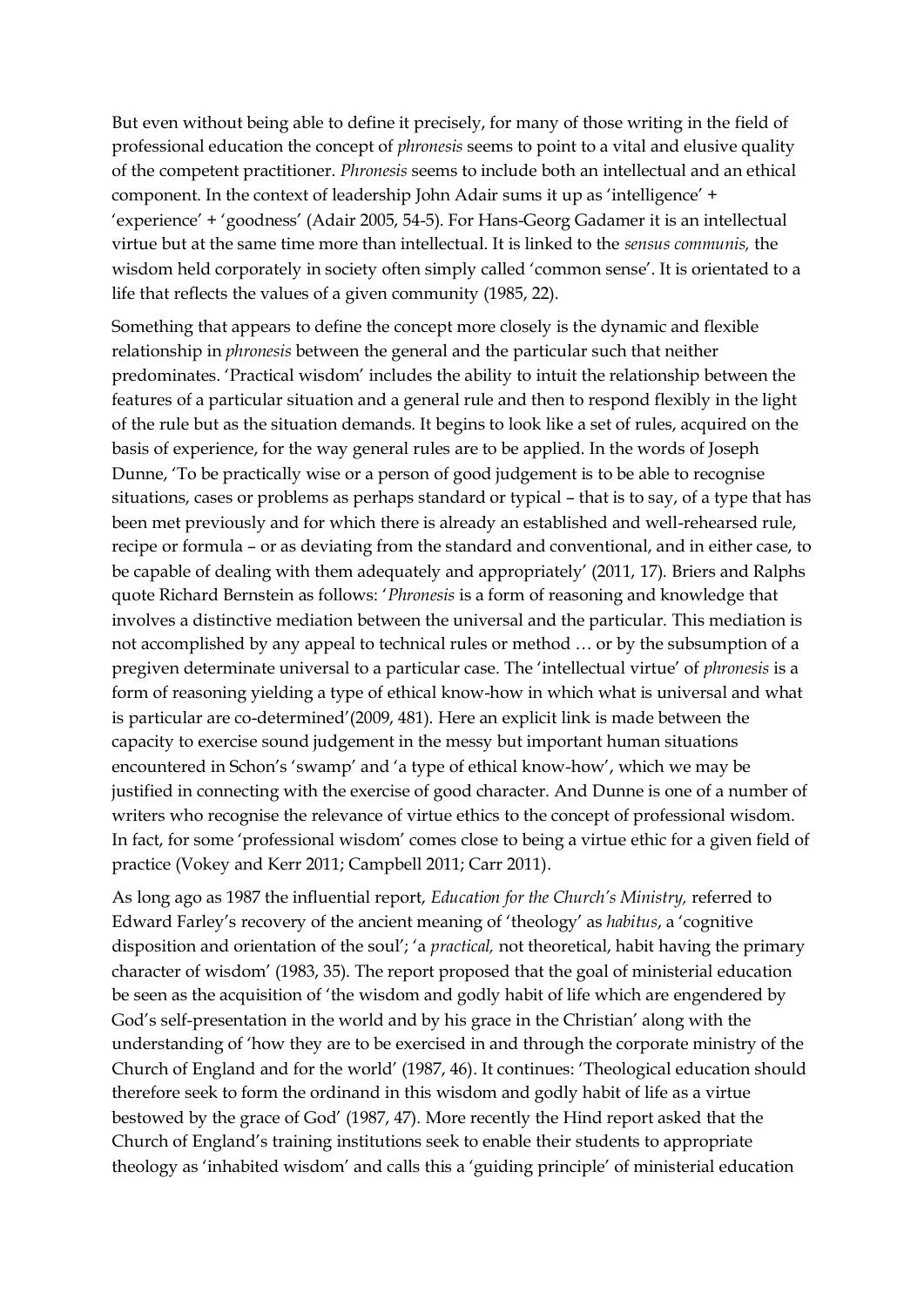But even without being able to define it precisely, for many of those writing in the field of professional education the concept of *phronesis* seems to point to a vital and elusive quality of the competent practitioner. *Phronesis* seems to include both an intellectual and an ethical component. In the context of leadership John Adair sums it up as 'intelligence' + 'experience' + 'goodness' (Adair 2005, 54-5). For Hans-Georg Gadamer it is an intellectual virtue but at the same time more than intellectual. It is linked to the *sensus communis,* the wisdom held corporately in society often simply called 'common sense'. It is orientated to a life that reflects the values of a given community (1985, 22).

Something that appears to define the concept more closely is the dynamic and flexible relationship in *phronesis* between the general and the particular such that neither predominates. 'Practical wisdom' includes the ability to intuit the relationship between the features of a particular situation and a general rule and then to respond flexibly in the light of the rule but as the situation demands. It begins to look like a set of rules, acquired on the basis of experience, for the way general rules are to be applied. In the words of Joseph Dunne, 'To be practically wise or a person of good judgement is to be able to recognise situations, cases or problems as perhaps standard or typical – that is to say, of a type that has been met previously and for which there is already an established and well-rehearsed rule, recipe or formula – or as deviating from the standard and conventional, and in either case, to be capable of dealing with them adequately and appropriately' (2011, 17). Briers and Ralphs quote Richard Bernstein as follows: '*Phronesis* is a form of reasoning and knowledge that involves a distinctive mediation between the universal and the particular. This mediation is not accomplished by any appeal to technical rules or method … or by the subsumption of a pregiven determinate universal to a particular case. The 'intellectual virtue' of *phronesis* is a form of reasoning yielding a type of ethical know-how in which what is universal and what is particular are co-determined'(2009, 481). Here an explicit link is made between the capacity to exercise sound judgement in the messy but important human situations encountered in Schon's 'swamp' and 'a type of ethical know-how', which we may be justified in connecting with the exercise of good character. And Dunne is one of a number of writers who recognise the relevance of virtue ethics to the concept of professional wisdom. In fact, for some 'professional wisdom' comes close to being a virtue ethic for a given field of practice (Vokey and Kerr 2011; Campbell 2011; Carr 2011).

As long ago as 1987 the influential report, *Education for the Church's Ministry,* referred to Edward Farley's recovery of the ancient meaning of 'theology' as *habitus*, a 'cognitive disposition and orientation of the soul'; 'a *practical,* not theoretical, habit having the primary character of wisdom' (1983, 35). The report proposed that the goal of ministerial education be seen as the acquisition of 'the wisdom and godly habit of life which are engendered by God's self-presentation in the world and by his grace in the Christian' along with the understanding of 'how they are to be exercised in and through the corporate ministry of the Church of England and for the world' (1987, 46). It continues: 'Theological education should therefore seek to form the ordinand in this wisdom and godly habit of life as a virtue bestowed by the grace of God' (1987, 47). More recently the Hind report asked that the Church of England's training institutions seek to enable their students to appropriate theology as 'inhabited wisdom' and calls this a 'guiding principle' of ministerial education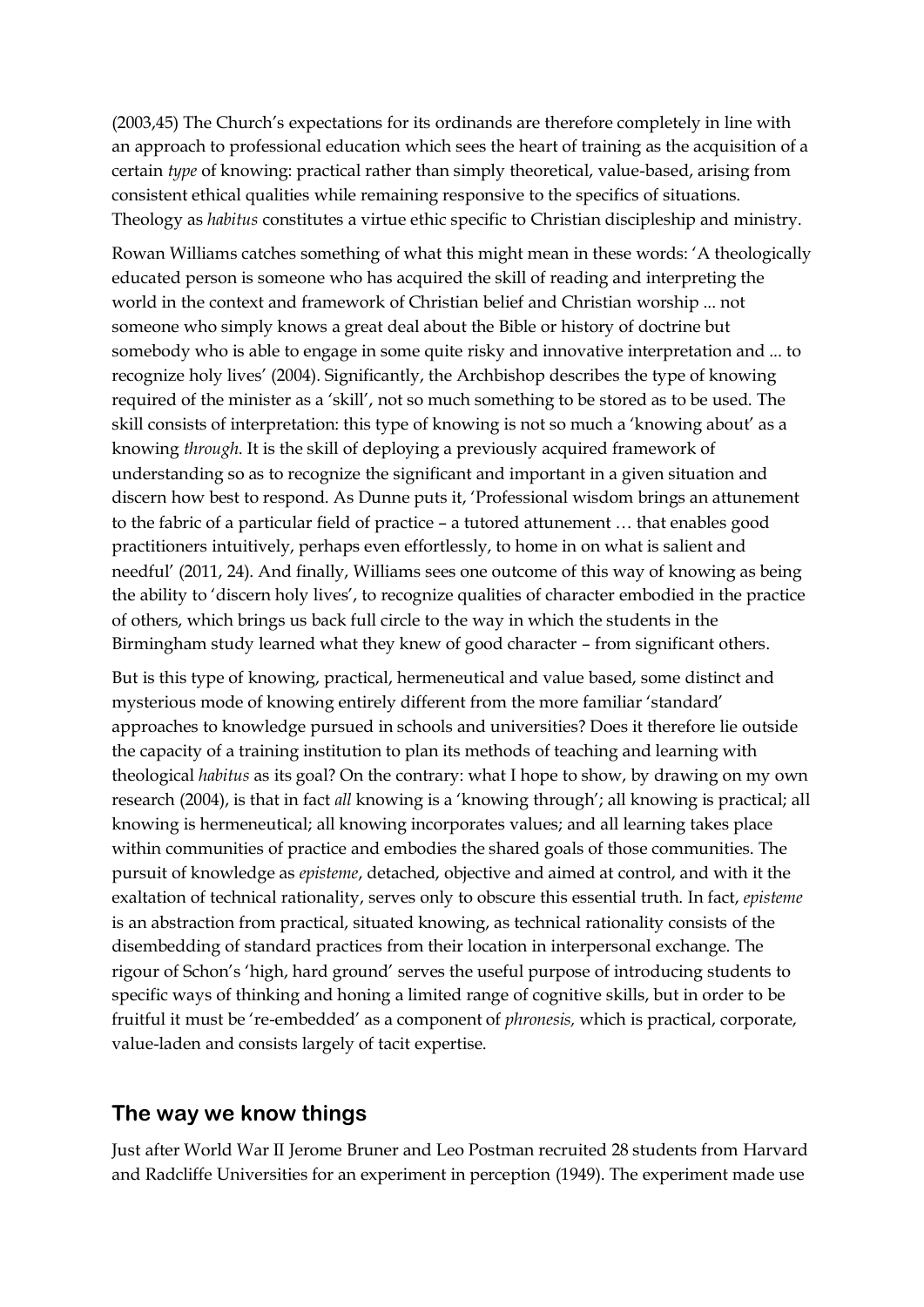(2003,45) The Church's expectations for its ordinands are therefore completely in line with an approach to professional education which sees the heart of training as the acquisition of a certain *type* of knowing: practical rather than simply theoretical, value-based, arising from consistent ethical qualities while remaining responsive to the specifics of situations. Theology as *habitus* constitutes a virtue ethic specific to Christian discipleship and ministry.

Rowan Williams catches something of what this might mean in these words: 'A theologically educated person is someone who has acquired the skill of reading and interpreting the world in the context and framework of Christian belief and Christian worship ... not someone who simply knows a great deal about the Bible or history of doctrine but somebody who is able to engage in some quite risky and innovative interpretation and ... to recognize holy lives' (2004). Significantly, the Archbishop describes the type of knowing required of the minister as a 'skill', not so much something to be stored as to be used. The skill consists of interpretation: this type of knowing is not so much a 'knowing about' as a knowing *through*. It is the skill of deploying a previously acquired framework of understanding so as to recognize the significant and important in a given situation and discern how best to respond. As Dunne puts it, 'Professional wisdom brings an attunement to the fabric of a particular field of practice – a tutored attunement … that enables good practitioners intuitively, perhaps even effortlessly, to home in on what is salient and needful' (2011, 24). And finally, Williams sees one outcome of this way of knowing as being the ability to 'discern holy lives', to recognize qualities of character embodied in the practice of others, which brings us back full circle to the way in which the students in the Birmingham study learned what they knew of good character – from significant others.

But is this type of knowing, practical, hermeneutical and value based, some distinct and mysterious mode of knowing entirely different from the more familiar 'standard' approaches to knowledge pursued in schools and universities? Does it therefore lie outside the capacity of a training institution to plan its methods of teaching and learning with theological *habitus* as its goal? On the contrary: what I hope to show, by drawing on my own research (2004), is that in fact *all* knowing is a 'knowing through'; all knowing is practical; all knowing is hermeneutical; all knowing incorporates values; and all learning takes place within communities of practice and embodies the shared goals of those communities. The pursuit of knowledge as *episteme*, detached, objective and aimed at control, and with it the exaltation of technical rationality, serves only to obscure this essential truth. In fact, *episteme* is an abstraction from practical, situated knowing, as technical rationality consists of the disembedding of standard practices from their location in interpersonal exchange. The rigour of Schon's 'high, hard ground' serves the useful purpose of introducing students to specific ways of thinking and honing a limited range of cognitive skills, but in order to be fruitful it must be 're-embedded' as a component of *phronesis,* which is practical, corporate, value-laden and consists largely of tacit expertise.

#### **The way we know things**

Just after World War II Jerome Bruner and Leo Postman recruited 28 students from Harvard and Radcliffe Universities for an experiment in perception (1949). The experiment made use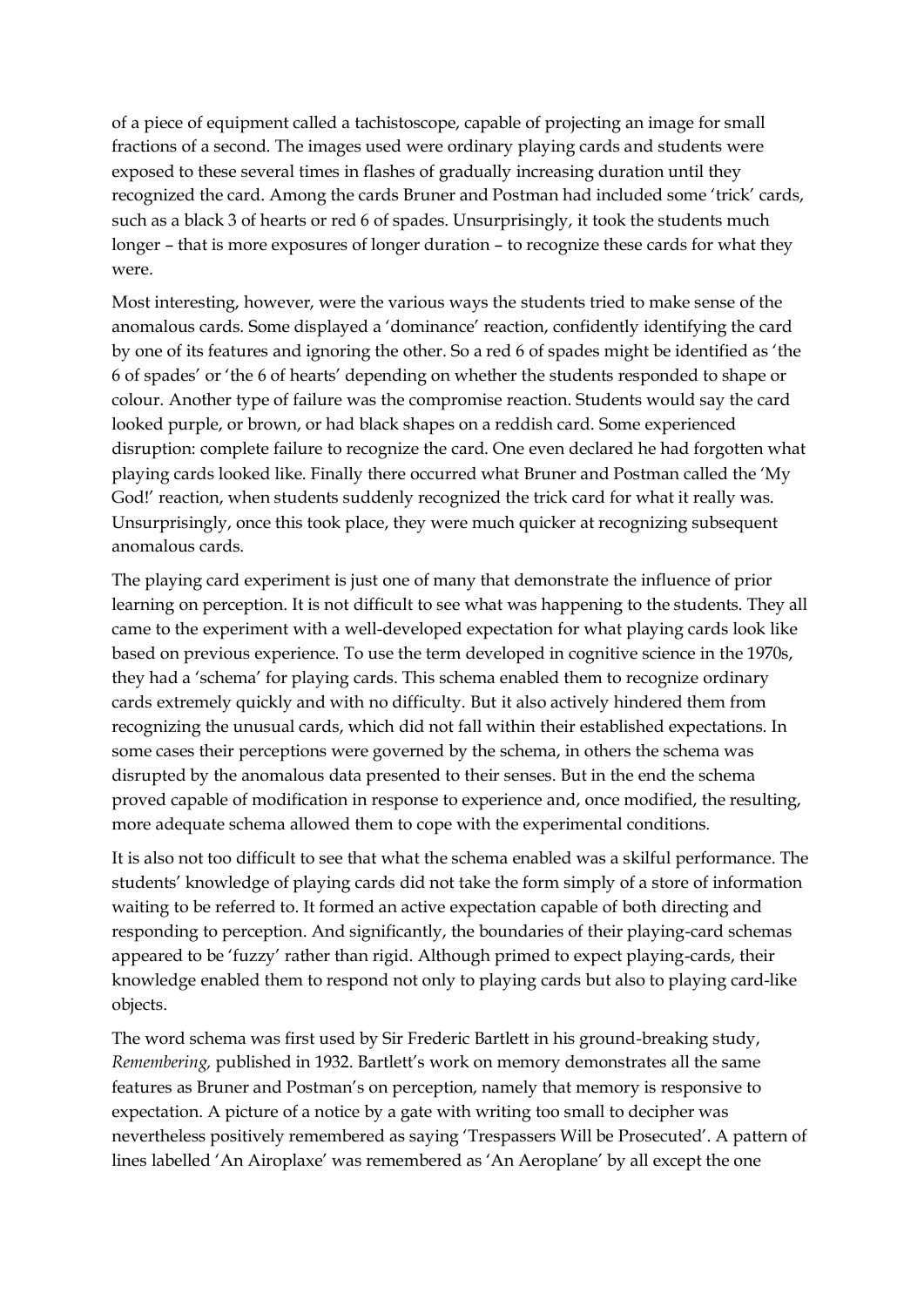of a piece of equipment called a tachistoscope, capable of projecting an image for small fractions of a second. The images used were ordinary playing cards and students were exposed to these several times in flashes of gradually increasing duration until they recognized the card. Among the cards Bruner and Postman had included some 'trick' cards, such as a black 3 of hearts or red 6 of spades. Unsurprisingly, it took the students much longer – that is more exposures of longer duration – to recognize these cards for what they were.

Most interesting, however, were the various ways the students tried to make sense of the anomalous cards. Some displayed a 'dominance' reaction, confidently identifying the card by one of its features and ignoring the other. So a red 6 of spades might be identified as 'the 6 of spades' or 'the 6 of hearts' depending on whether the students responded to shape or colour. Another type of failure was the compromise reaction. Students would say the card looked purple, or brown, or had black shapes on a reddish card. Some experienced disruption: complete failure to recognize the card. One even declared he had forgotten what playing cards looked like. Finally there occurred what Bruner and Postman called the 'My God!' reaction, when students suddenly recognized the trick card for what it really was. Unsurprisingly, once this took place, they were much quicker at recognizing subsequent anomalous cards.

The playing card experiment is just one of many that demonstrate the influence of prior learning on perception. It is not difficult to see what was happening to the students. They all came to the experiment with a well-developed expectation for what playing cards look like based on previous experience. To use the term developed in cognitive science in the 1970s, they had a 'schema' for playing cards. This schema enabled them to recognize ordinary cards extremely quickly and with no difficulty. But it also actively hindered them from recognizing the unusual cards, which did not fall within their established expectations. In some cases their perceptions were governed by the schema, in others the schema was disrupted by the anomalous data presented to their senses. But in the end the schema proved capable of modification in response to experience and, once modified, the resulting, more adequate schema allowed them to cope with the experimental conditions.

It is also not too difficult to see that what the schema enabled was a skilful performance. The students' knowledge of playing cards did not take the form simply of a store of information waiting to be referred to. It formed an active expectation capable of both directing and responding to perception. And significantly, the boundaries of their playing-card schemas appeared to be 'fuzzy' rather than rigid. Although primed to expect playing-cards, their knowledge enabled them to respond not only to playing cards but also to playing card-like objects.

The word schema was first used by Sir Frederic Bartlett in his ground-breaking study, *Remembering,* published in 1932. Bartlett's work on memory demonstrates all the same features as Bruner and Postman's on perception, namely that memory is responsive to expectation. A picture of a notice by a gate with writing too small to decipher was nevertheless positively remembered as saying 'Trespassers Will be Prosecuted'. A pattern of lines labelled 'An Airoplaxe' was remembered as 'An Aeroplane' by all except the one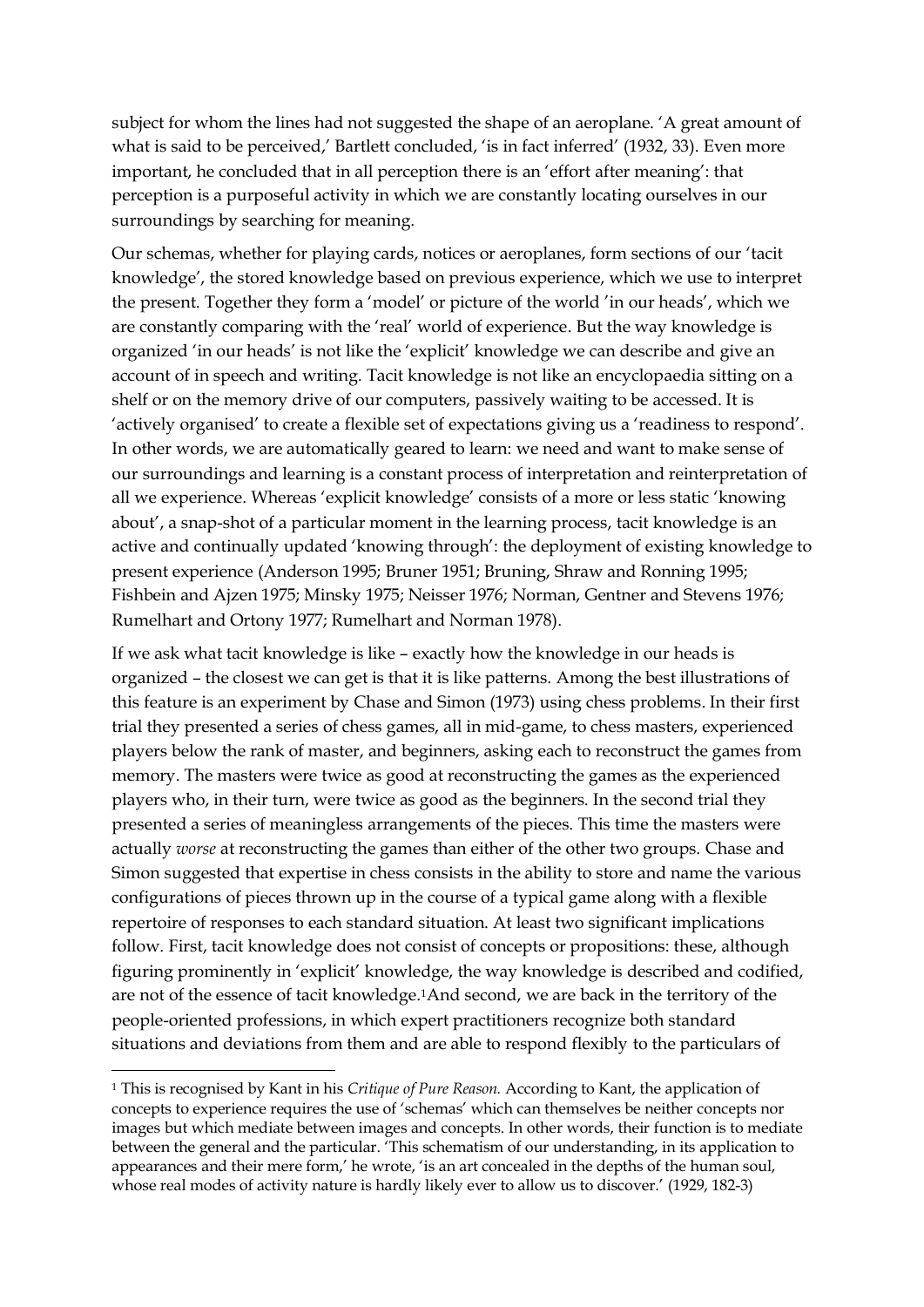subject for whom the lines had not suggested the shape of an aeroplane. 'A great amount of what is said to be perceived,' Bartlett concluded, 'is in fact inferred' (1932, 33). Even more important, he concluded that in all perception there is an 'effort after meaning': that perception is a purposeful activity in which we are constantly locating ourselves in our surroundings by searching for meaning.

Our schemas, whether for playing cards, notices or aeroplanes, form sections of our 'tacit knowledge', the stored knowledge based on previous experience, which we use to interpret the present. Together they form a 'model' or picture of the world 'in our heads', which we are constantly comparing with the 'real' world of experience. But the way knowledge is organized 'in our heads' is not like the 'explicit' knowledge we can describe and give an account of in speech and writing. Tacit knowledge is not like an encyclopaedia sitting on a shelf or on the memory drive of our computers, passively waiting to be accessed. It is 'actively organised' to create a flexible set of expectations giving us a 'readiness to respond'. In other words, we are automatically geared to learn: we need and want to make sense of our surroundings and learning is a constant process of interpretation and reinterpretation of all we experience. Whereas 'explicit knowledge' consists of a more or less static 'knowing about', a snap-shot of a particular moment in the learning process, tacit knowledge is an active and continually updated 'knowing through': the deployment of existing knowledge to present experience (Anderson 1995; Bruner 1951; Bruning, Shraw and Ronning 1995; Fishbein and Ajzen 1975; Minsky 1975; Neisser 1976; Norman, Gentner and Stevens 1976; Rumelhart and Ortony 1977; Rumelhart and Norman 1978).

If we ask what tacit knowledge is like – exactly how the knowledge in our heads is organized – the closest we can get is that it is like patterns. Among the best illustrations of this feature is an experiment by Chase and Simon (1973) using chess problems. In their first trial they presented a series of chess games, all in mid-game, to chess masters, experienced players below the rank of master, and beginners, asking each to reconstruct the games from memory. The masters were twice as good at reconstructing the games as the experienced players who, in their turn, were twice as good as the beginners. In the second trial they presented a series of meaningless arrangements of the pieces. This time the masters were actually *worse* at reconstructing the games than either of the other two groups. Chase and Simon suggested that expertise in chess consists in the ability to store and name the various configurations of pieces thrown up in the course of a typical game along with a flexible repertoire of responses to each standard situation. At least two significant implications follow. First, tacit knowledge does not consist of concepts or propositions: these, although figuring prominently in 'explicit' knowledge, the way knowledge is described and codified, are not of the essence of tacit knowledge.1And second, we are back in the territory of the people-oriented professions, in which expert practitioners recognize both standard situations and deviations from them and are able to respond flexibly to the particulars of

<u>.</u>

<sup>1</sup> This is recognised by Kant in his *Critique of Pure Reason.* According to Kant, the application of concepts to experience requires the use of 'schemas' which can themselves be neither concepts nor images but which mediate between images and concepts. In other words, their function is to mediate between the general and the particular. 'This schematism of our understanding, in its application to appearances and their mere form,' he wrote, 'is an art concealed in the depths of the human soul, whose real modes of activity nature is hardly likely ever to allow us to discover.' (1929, 182-3)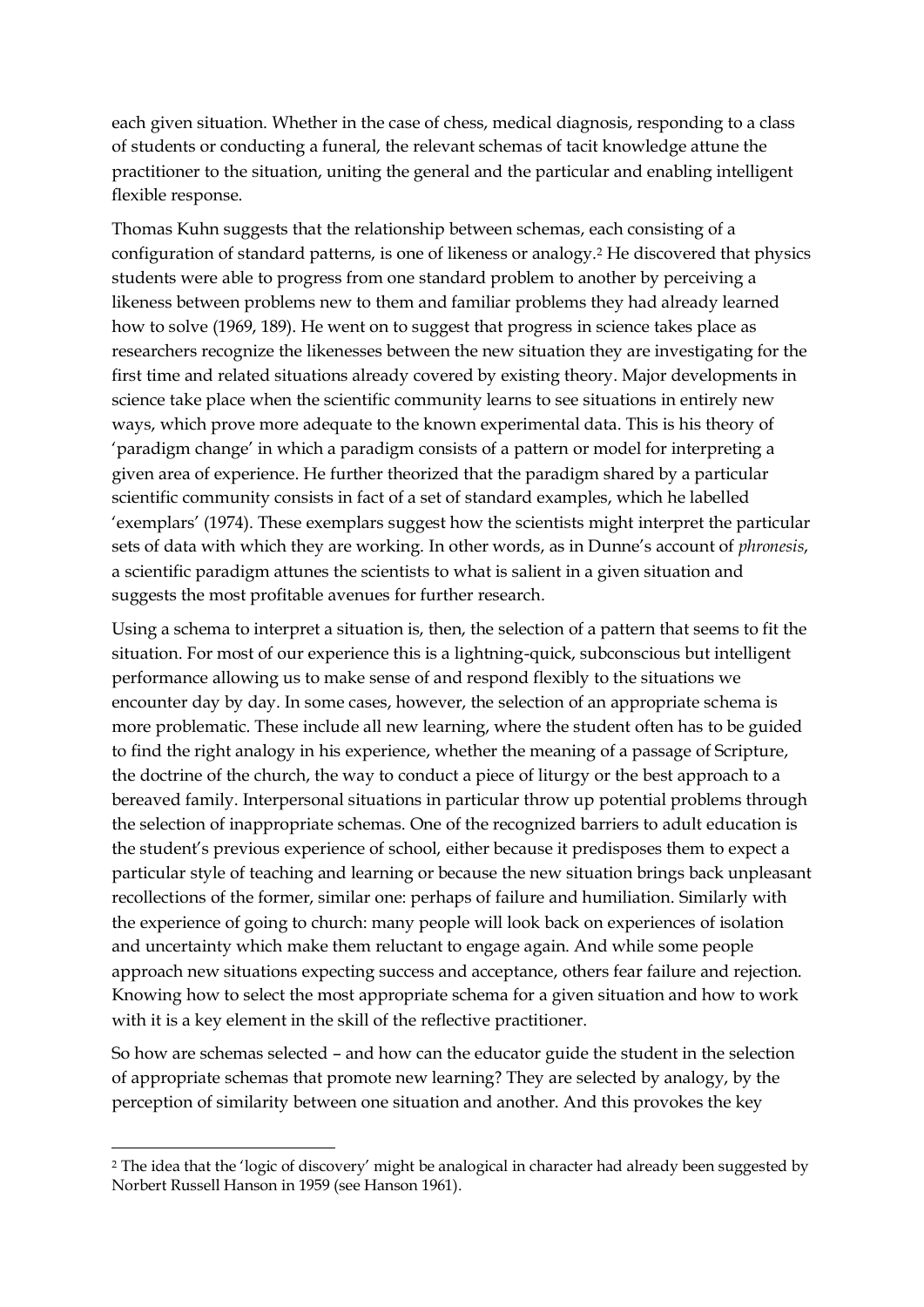each given situation. Whether in the case of chess, medical diagnosis, responding to a class of students or conducting a funeral, the relevant schemas of tacit knowledge attune the practitioner to the situation, uniting the general and the particular and enabling intelligent flexible response.

Thomas Kuhn suggests that the relationship between schemas, each consisting of a configuration of standard patterns, is one of likeness or analogy.<sup>2</sup> He discovered that physics students were able to progress from one standard problem to another by perceiving a likeness between problems new to them and familiar problems they had already learned how to solve (1969, 189). He went on to suggest that progress in science takes place as researchers recognize the likenesses between the new situation they are investigating for the first time and related situations already covered by existing theory. Major developments in science take place when the scientific community learns to see situations in entirely new ways, which prove more adequate to the known experimental data. This is his theory of 'paradigm change' in which a paradigm consists of a pattern or model for interpreting a given area of experience. He further theorized that the paradigm shared by a particular scientific community consists in fact of a set of standard examples, which he labelled 'exemplars' (1974). These exemplars suggest how the scientists might interpret the particular sets of data with which they are working. In other words, as in Dunne's account of *phronesis*, a scientific paradigm attunes the scientists to what is salient in a given situation and suggests the most profitable avenues for further research.

Using a schema to interpret a situation is, then, the selection of a pattern that seems to fit the situation. For most of our experience this is a lightning-quick, subconscious but intelligent performance allowing us to make sense of and respond flexibly to the situations we encounter day by day. In some cases, however, the selection of an appropriate schema is more problematic. These include all new learning, where the student often has to be guided to find the right analogy in his experience, whether the meaning of a passage of Scripture, the doctrine of the church, the way to conduct a piece of liturgy or the best approach to a bereaved family. Interpersonal situations in particular throw up potential problems through the selection of inappropriate schemas. One of the recognized barriers to adult education is the student's previous experience of school, either because it predisposes them to expect a particular style of teaching and learning or because the new situation brings back unpleasant recollections of the former, similar one: perhaps of failure and humiliation. Similarly with the experience of going to church: many people will look back on experiences of isolation and uncertainty which make them reluctant to engage again. And while some people approach new situations expecting success and acceptance, others fear failure and rejection. Knowing how to select the most appropriate schema for a given situation and how to work with it is a key element in the skill of the reflective practitioner.

So how are schemas selected – and how can the educator guide the student in the selection of appropriate schemas that promote new learning? They are selected by analogy, by the perception of similarity between one situation and another. And this provokes the key

-

<sup>2</sup> The idea that the 'logic of discovery' might be analogical in character had already been suggested by Norbert Russell Hanson in 1959 (see Hanson 1961).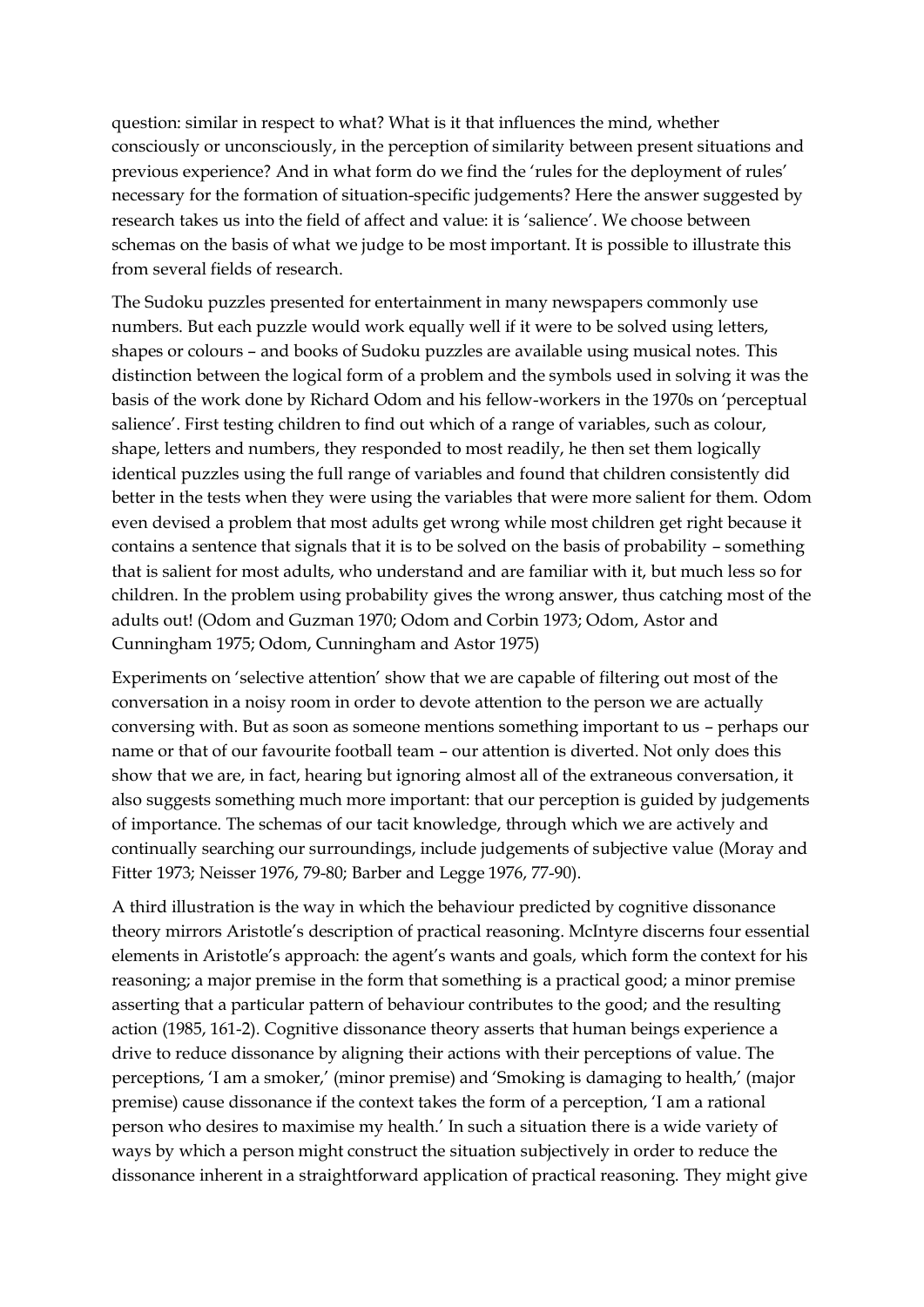question: similar in respect to what? What is it that influences the mind, whether consciously or unconsciously, in the perception of similarity between present situations and previous experience? And in what form do we find the 'rules for the deployment of rules' necessary for the formation of situation-specific judgements? Here the answer suggested by research takes us into the field of affect and value: it is 'salience'. We choose between schemas on the basis of what we judge to be most important. It is possible to illustrate this from several fields of research.

The Sudoku puzzles presented for entertainment in many newspapers commonly use numbers. But each puzzle would work equally well if it were to be solved using letters, shapes or colours – and books of Sudoku puzzles are available using musical notes. This distinction between the logical form of a problem and the symbols used in solving it was the basis of the work done by Richard Odom and his fellow-workers in the 1970s on 'perceptual salience'. First testing children to find out which of a range of variables, such as colour, shape, letters and numbers, they responded to most readily, he then set them logically identical puzzles using the full range of variables and found that children consistently did better in the tests when they were using the variables that were more salient for them. Odom even devised a problem that most adults get wrong while most children get right because it contains a sentence that signals that it is to be solved on the basis of probability – something that is salient for most adults, who understand and are familiar with it, but much less so for children. In the problem using probability gives the wrong answer, thus catching most of the adults out! (Odom and Guzman 1970; Odom and Corbin 1973; Odom, Astor and Cunningham 1975; Odom, Cunningham and Astor 1975)

Experiments on 'selective attention' show that we are capable of filtering out most of the conversation in a noisy room in order to devote attention to the person we are actually conversing with. But as soon as someone mentions something important to us – perhaps our name or that of our favourite football team – our attention is diverted. Not only does this show that we are, in fact, hearing but ignoring almost all of the extraneous conversation, it also suggests something much more important: that our perception is guided by judgements of importance. The schemas of our tacit knowledge, through which we are actively and continually searching our surroundings, include judgements of subjective value (Moray and Fitter 1973; Neisser 1976, 79-80; Barber and Legge 1976, 77-90).

A third illustration is the way in which the behaviour predicted by cognitive dissonance theory mirrors Aristotle's description of practical reasoning. McIntyre discerns four essential elements in Aristotle's approach: the agent's wants and goals, which form the context for his reasoning; a major premise in the form that something is a practical good; a minor premise asserting that a particular pattern of behaviour contributes to the good; and the resulting action (1985, 161-2). Cognitive dissonance theory asserts that human beings experience a drive to reduce dissonance by aligning their actions with their perceptions of value. The perceptions, 'I am a smoker,' (minor premise) and 'Smoking is damaging to health,' (major premise) cause dissonance if the context takes the form of a perception, 'I am a rational person who desires to maximise my health.' In such a situation there is a wide variety of ways by which a person might construct the situation subjectively in order to reduce the dissonance inherent in a straightforward application of practical reasoning. They might give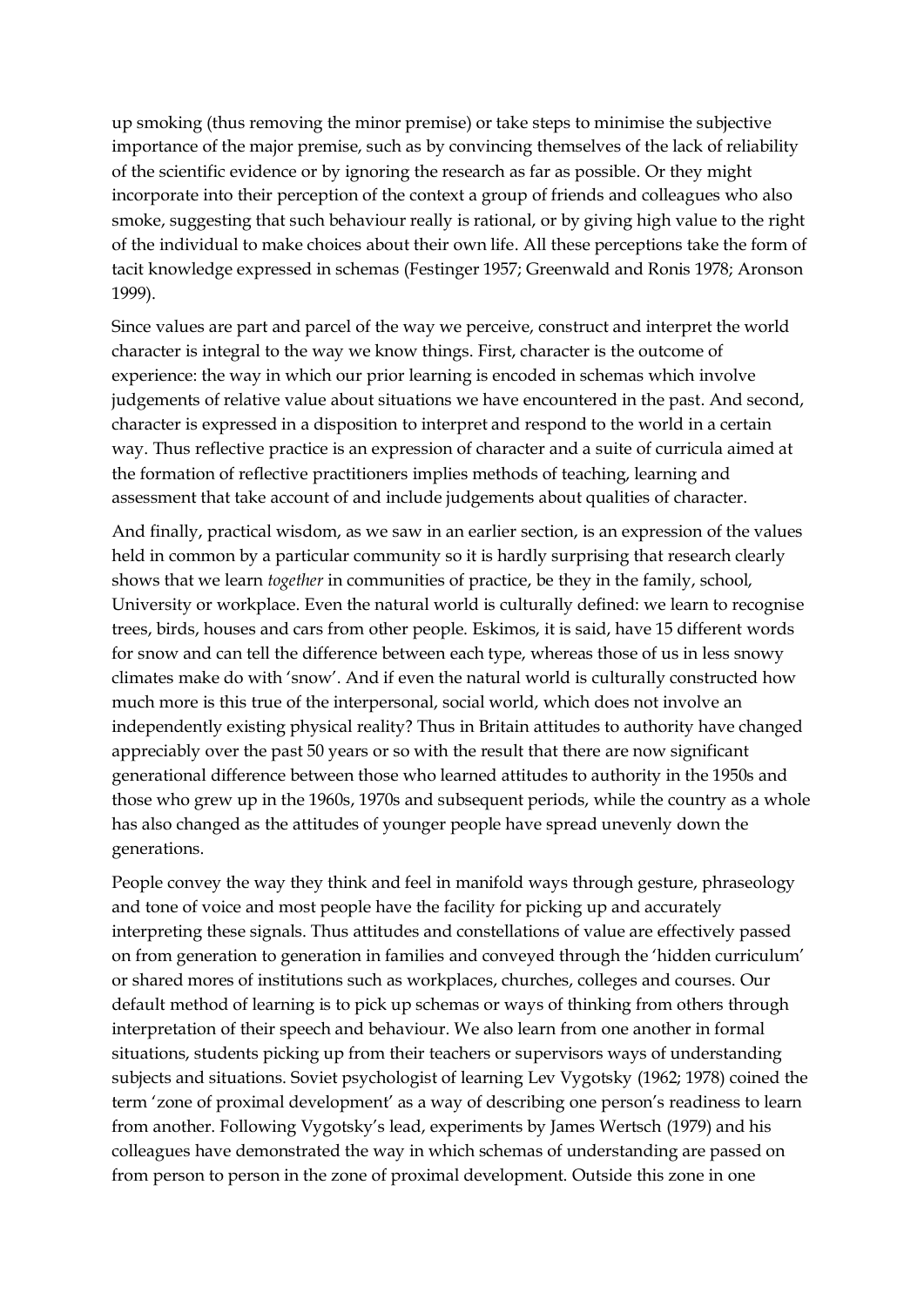up smoking (thus removing the minor premise) or take steps to minimise the subjective importance of the major premise, such as by convincing themselves of the lack of reliability of the scientific evidence or by ignoring the research as far as possible. Or they might incorporate into their perception of the context a group of friends and colleagues who also smoke, suggesting that such behaviour really is rational, or by giving high value to the right of the individual to make choices about their own life. All these perceptions take the form of tacit knowledge expressed in schemas (Festinger 1957; Greenwald and Ronis 1978; Aronson 1999).

Since values are part and parcel of the way we perceive, construct and interpret the world character is integral to the way we know things. First, character is the outcome of experience: the way in which our prior learning is encoded in schemas which involve judgements of relative value about situations we have encountered in the past. And second, character is expressed in a disposition to interpret and respond to the world in a certain way. Thus reflective practice is an expression of character and a suite of curricula aimed at the formation of reflective practitioners implies methods of teaching, learning and assessment that take account of and include judgements about qualities of character.

And finally, practical wisdom, as we saw in an earlier section, is an expression of the values held in common by a particular community so it is hardly surprising that research clearly shows that we learn *together* in communities of practice, be they in the family, school, University or workplace. Even the natural world is culturally defined: we learn to recognise trees, birds, houses and cars from other people. Eskimos, it is said, have 15 different words for snow and can tell the difference between each type, whereas those of us in less snowy climates make do with 'snow'. And if even the natural world is culturally constructed how much more is this true of the interpersonal, social world, which does not involve an independently existing physical reality? Thus in Britain attitudes to authority have changed appreciably over the past 50 years or so with the result that there are now significant generational difference between those who learned attitudes to authority in the 1950s and those who grew up in the 1960s, 1970s and subsequent periods, while the country as a whole has also changed as the attitudes of younger people have spread unevenly down the generations.

People convey the way they think and feel in manifold ways through gesture, phraseology and tone of voice and most people have the facility for picking up and accurately interpreting these signals. Thus attitudes and constellations of value are effectively passed on from generation to generation in families and conveyed through the 'hidden curriculum' or shared mores of institutions such as workplaces, churches, colleges and courses. Our default method of learning is to pick up schemas or ways of thinking from others through interpretation of their speech and behaviour. We also learn from one another in formal situations, students picking up from their teachers or supervisors ways of understanding subjects and situations. Soviet psychologist of learning Lev Vygotsky (1962; 1978) coined the term 'zone of proximal development' as a way of describing one person's readiness to learn from another. Following Vygotsky's lead, experiments by James Wertsch (1979) and his colleagues have demonstrated the way in which schemas of understanding are passed on from person to person in the zone of proximal development. Outside this zone in one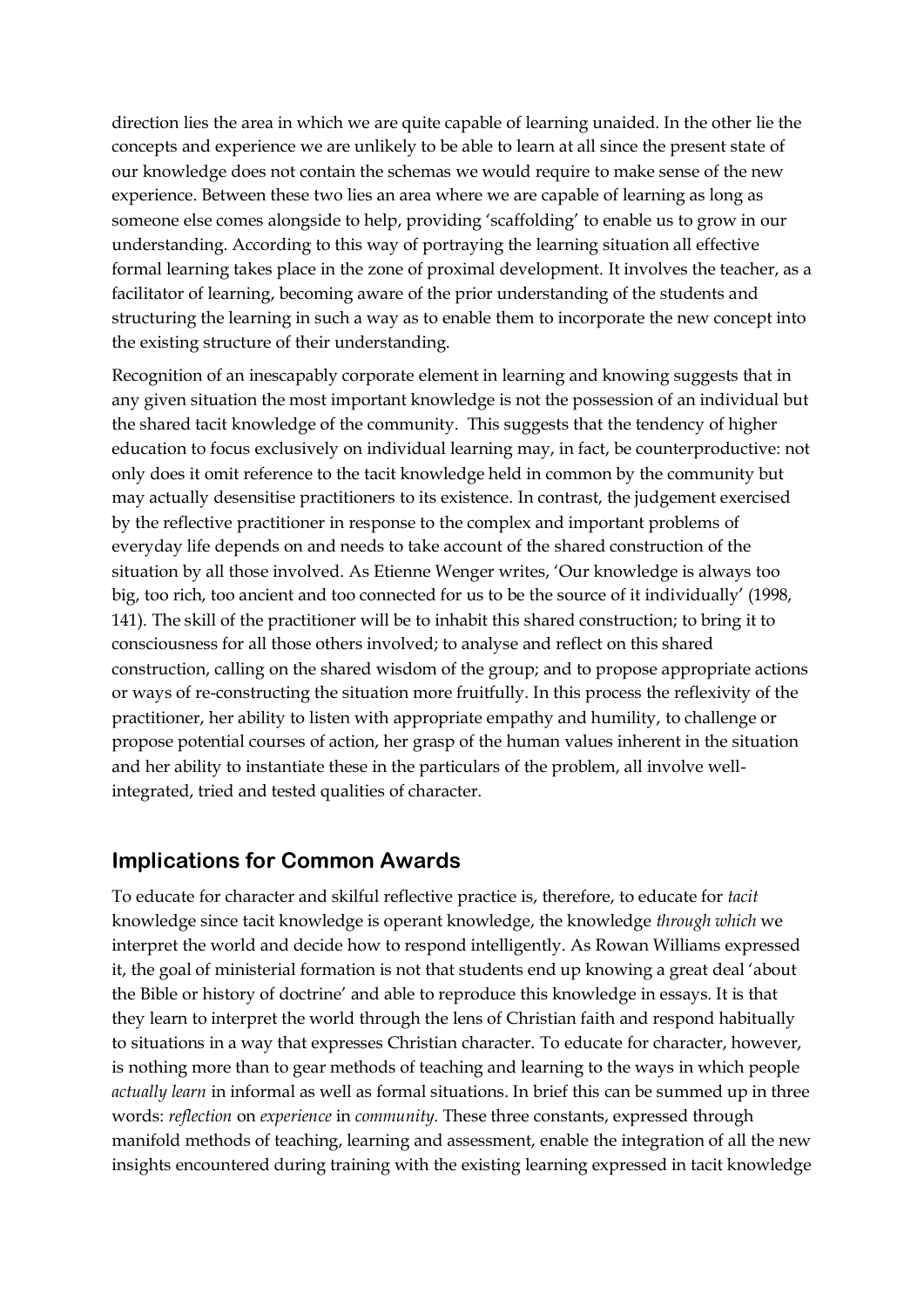direction lies the area in which we are quite capable of learning unaided. In the other lie the concepts and experience we are unlikely to be able to learn at all since the present state of our knowledge does not contain the schemas we would require to make sense of the new experience. Between these two lies an area where we are capable of learning as long as someone else comes alongside to help, providing 'scaffolding' to enable us to grow in our understanding. According to this way of portraying the learning situation all effective formal learning takes place in the zone of proximal development. It involves the teacher, as a facilitator of learning, becoming aware of the prior understanding of the students and structuring the learning in such a way as to enable them to incorporate the new concept into the existing structure of their understanding.

Recognition of an inescapably corporate element in learning and knowing suggests that in any given situation the most important knowledge is not the possession of an individual but the shared tacit knowledge of the community. This suggests that the tendency of higher education to focus exclusively on individual learning may, in fact, be counterproductive: not only does it omit reference to the tacit knowledge held in common by the community but may actually desensitise practitioners to its existence. In contrast, the judgement exercised by the reflective practitioner in response to the complex and important problems of everyday life depends on and needs to take account of the shared construction of the situation by all those involved. As Etienne Wenger writes, 'Our knowledge is always too big, too rich, too ancient and too connected for us to be the source of it individually' (1998, 141). The skill of the practitioner will be to inhabit this shared construction; to bring it to consciousness for all those others involved; to analyse and reflect on this shared construction, calling on the shared wisdom of the group; and to propose appropriate actions or ways of re-constructing the situation more fruitfully. In this process the reflexivity of the practitioner, her ability to listen with appropriate empathy and humility, to challenge or propose potential courses of action, her grasp of the human values inherent in the situation and her ability to instantiate these in the particulars of the problem, all involve wellintegrated, tried and tested qualities of character.

#### **Implications for Common Awards**

To educate for character and skilful reflective practice is, therefore, to educate for *tacit*  knowledge since tacit knowledge is operant knowledge, the knowledge *through which* we interpret the world and decide how to respond intelligently. As Rowan Williams expressed it, the goal of ministerial formation is not that students end up knowing a great deal 'about the Bible or history of doctrine' and able to reproduce this knowledge in essays. It is that they learn to interpret the world through the lens of Christian faith and respond habitually to situations in a way that expresses Christian character. To educate for character, however, is nothing more than to gear methods of teaching and learning to the ways in which people *actually learn* in informal as well as formal situations. In brief this can be summed up in three words: *reflection* on *experience* in *community*. These three constants, expressed through manifold methods of teaching, learning and assessment, enable the integration of all the new insights encountered during training with the existing learning expressed in tacit knowledge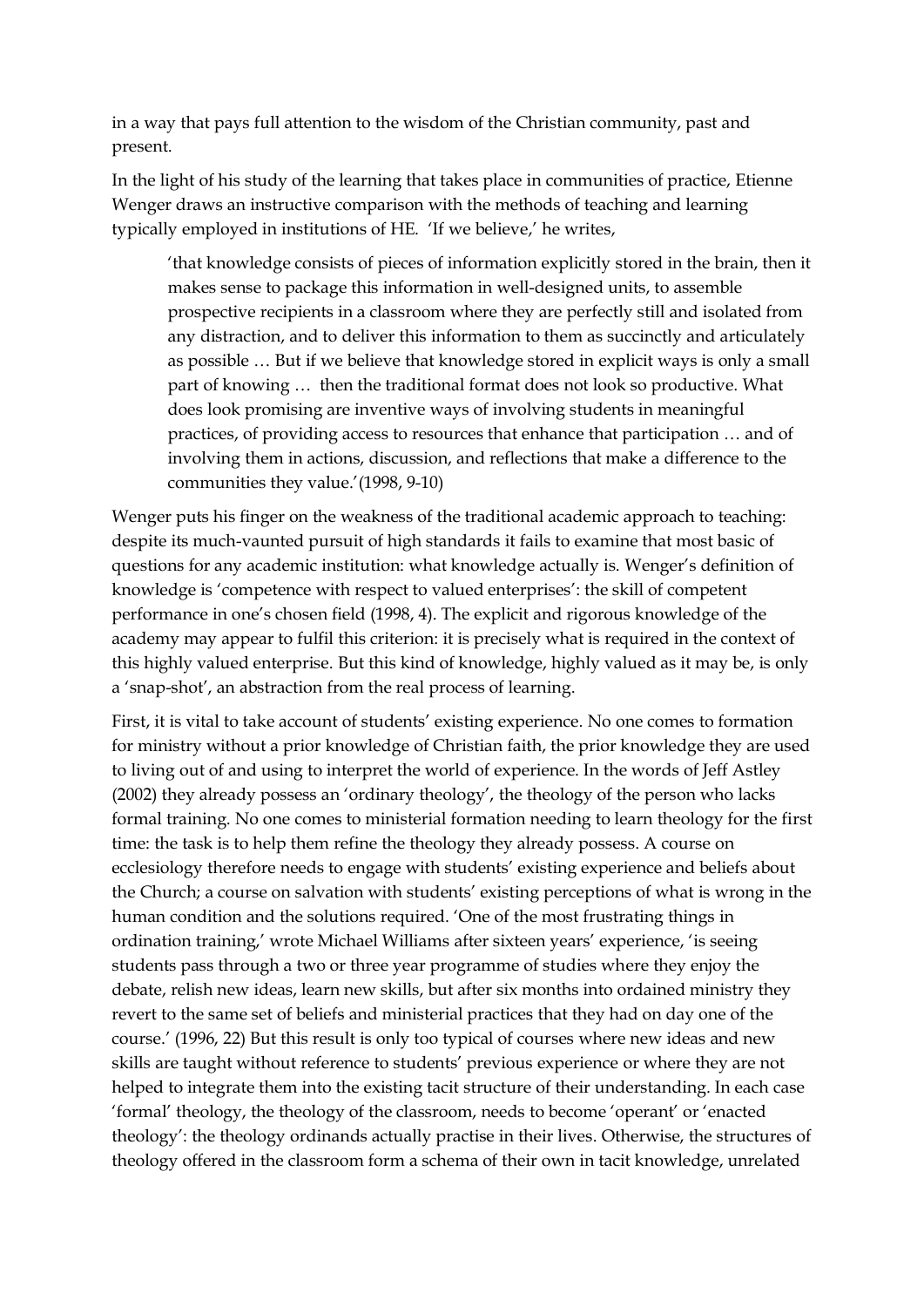in a way that pays full attention to the wisdom of the Christian community, past and present.

In the light of his study of the learning that takes place in communities of practice, Etienne Wenger draws an instructive comparison with the methods of teaching and learning typically employed in institutions of HE. 'If we believe,' he writes,

'that knowledge consists of pieces of information explicitly stored in the brain, then it makes sense to package this information in well-designed units, to assemble prospective recipients in a classroom where they are perfectly still and isolated from any distraction, and to deliver this information to them as succinctly and articulately as possible … But if we believe that knowledge stored in explicit ways is only a small part of knowing … then the traditional format does not look so productive. What does look promising are inventive ways of involving students in meaningful practices, of providing access to resources that enhance that participation … and of involving them in actions, discussion, and reflections that make a difference to the communities they value.'(1998, 9-10)

Wenger puts his finger on the weakness of the traditional academic approach to teaching: despite its much-vaunted pursuit of high standards it fails to examine that most basic of questions for any academic institution: what knowledge actually is. Wenger's definition of knowledge is 'competence with respect to valued enterprises': the skill of competent performance in one's chosen field (1998, 4). The explicit and rigorous knowledge of the academy may appear to fulfil this criterion: it is precisely what is required in the context of this highly valued enterprise. But this kind of knowledge, highly valued as it may be, is only a 'snap-shot', an abstraction from the real process of learning.

First, it is vital to take account of students' existing experience. No one comes to formation for ministry without a prior knowledge of Christian faith, the prior knowledge they are used to living out of and using to interpret the world of experience. In the words of Jeff Astley (2002) they already possess an 'ordinary theology', the theology of the person who lacks formal training. No one comes to ministerial formation needing to learn theology for the first time: the task is to help them refine the theology they already possess. A course on ecclesiology therefore needs to engage with students' existing experience and beliefs about the Church; a course on salvation with students' existing perceptions of what is wrong in the human condition and the solutions required. 'One of the most frustrating things in ordination training,' wrote Michael Williams after sixteen years' experience, 'is seeing students pass through a two or three year programme of studies where they enjoy the debate, relish new ideas, learn new skills, but after six months into ordained ministry they revert to the same set of beliefs and ministerial practices that they had on day one of the course.' (1996, 22) But this result is only too typical of courses where new ideas and new skills are taught without reference to students' previous experience or where they are not helped to integrate them into the existing tacit structure of their understanding. In each case 'formal' theology, the theology of the classroom, needs to become 'operant' or 'enacted theology': the theology ordinands actually practise in their lives. Otherwise, the structures of theology offered in the classroom form a schema of their own in tacit knowledge, unrelated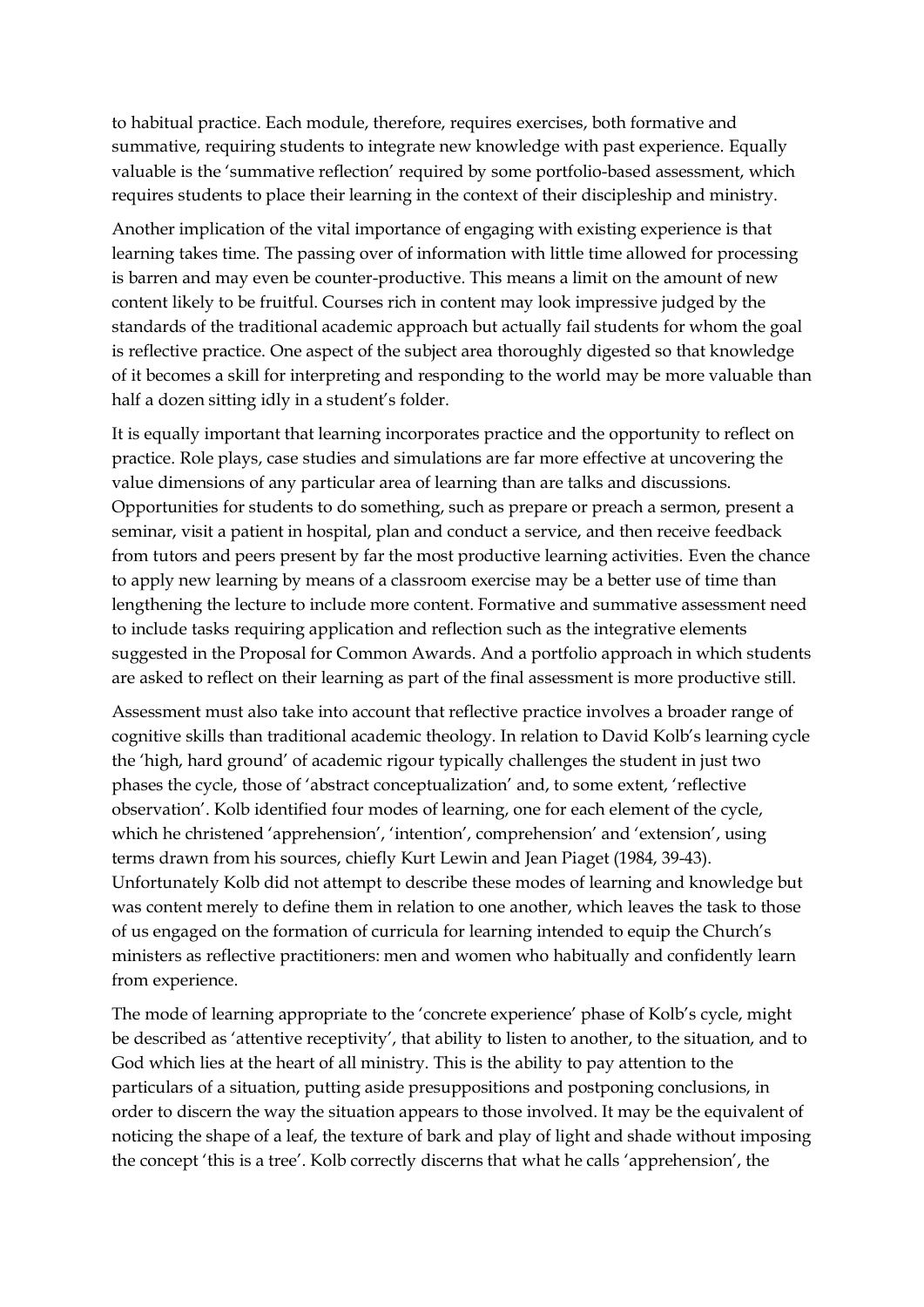to habitual practice. Each module, therefore, requires exercises, both formative and summative, requiring students to integrate new knowledge with past experience. Equally valuable is the 'summative reflection' required by some portfolio-based assessment, which requires students to place their learning in the context of their discipleship and ministry.

Another implication of the vital importance of engaging with existing experience is that learning takes time. The passing over of information with little time allowed for processing is barren and may even be counter-productive. This means a limit on the amount of new content likely to be fruitful. Courses rich in content may look impressive judged by the standards of the traditional academic approach but actually fail students for whom the goal is reflective practice. One aspect of the subject area thoroughly digested so that knowledge of it becomes a skill for interpreting and responding to the world may be more valuable than half a dozen sitting idly in a student's folder.

It is equally important that learning incorporates practice and the opportunity to reflect on practice. Role plays, case studies and simulations are far more effective at uncovering the value dimensions of any particular area of learning than are talks and discussions. Opportunities for students to do something, such as prepare or preach a sermon, present a seminar, visit a patient in hospital, plan and conduct a service, and then receive feedback from tutors and peers present by far the most productive learning activities. Even the chance to apply new learning by means of a classroom exercise may be a better use of time than lengthening the lecture to include more content. Formative and summative assessment need to include tasks requiring application and reflection such as the integrative elements suggested in the Proposal for Common Awards. And a portfolio approach in which students are asked to reflect on their learning as part of the final assessment is more productive still.

Assessment must also take into account that reflective practice involves a broader range of cognitive skills than traditional academic theology. In relation to David Kolb's learning cycle the 'high, hard ground' of academic rigour typically challenges the student in just two phases the cycle, those of 'abstract conceptualization' and, to some extent, 'reflective observation'. Kolb identified four modes of learning, one for each element of the cycle, which he christened 'apprehension', 'intention', comprehension' and 'extension', using terms drawn from his sources, chiefly Kurt Lewin and Jean Piaget (1984, 39-43). Unfortunately Kolb did not attempt to describe these modes of learning and knowledge but was content merely to define them in relation to one another, which leaves the task to those of us engaged on the formation of curricula for learning intended to equip the Church's ministers as reflective practitioners: men and women who habitually and confidently learn from experience.

The mode of learning appropriate to the 'concrete experience' phase of Kolb's cycle, might be described as 'attentive receptivity', that ability to listen to another, to the situation, and to God which lies at the heart of all ministry. This is the ability to pay attention to the particulars of a situation, putting aside presuppositions and postponing conclusions, in order to discern the way the situation appears to those involved. It may be the equivalent of noticing the shape of a leaf, the texture of bark and play of light and shade without imposing the concept 'this is a tree'. Kolb correctly discerns that what he calls 'apprehension', the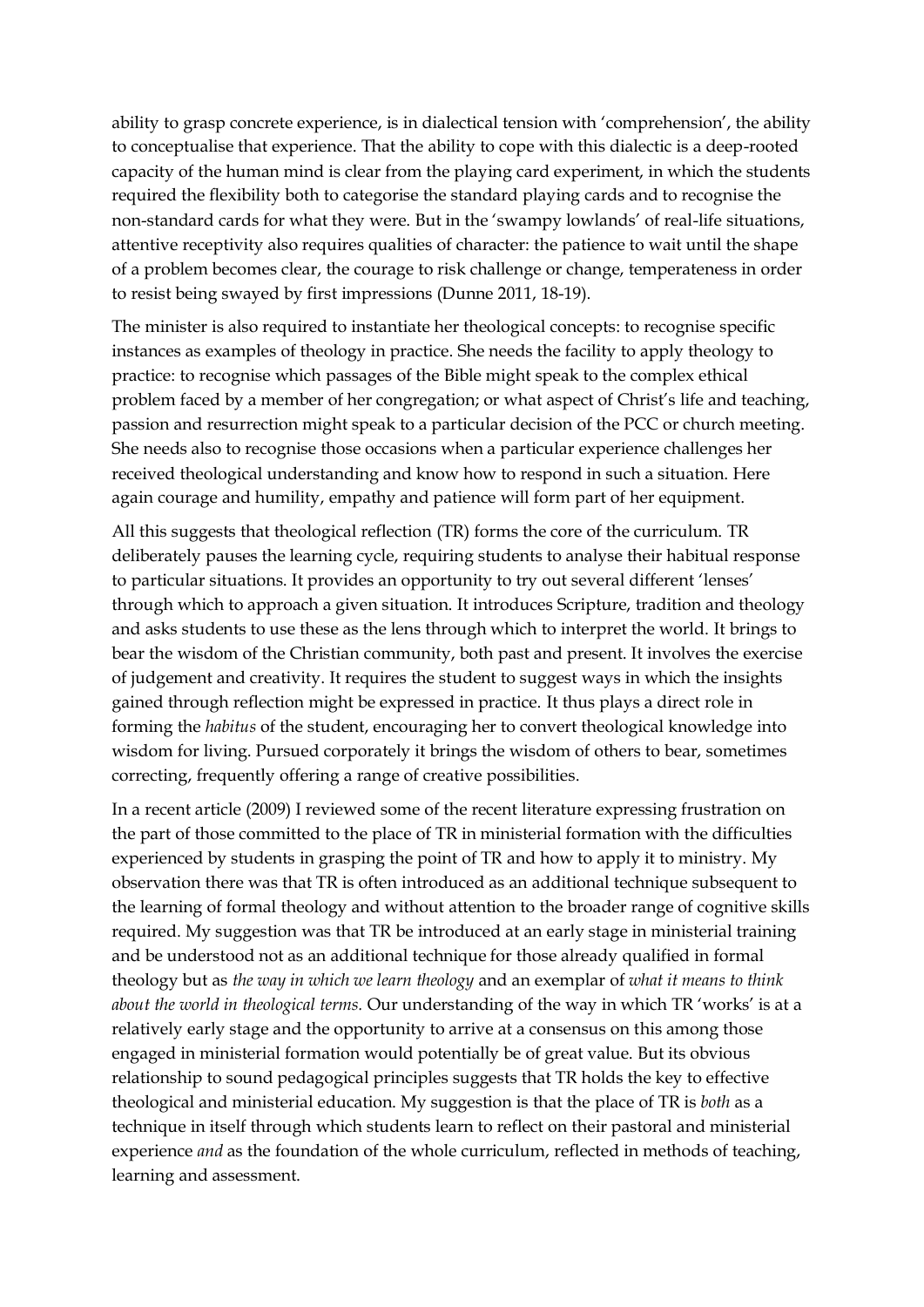ability to grasp concrete experience, is in dialectical tension with 'comprehension', the ability to conceptualise that experience. That the ability to cope with this dialectic is a deep-rooted capacity of the human mind is clear from the playing card experiment, in which the students required the flexibility both to categorise the standard playing cards and to recognise the non-standard cards for what they were. But in the 'swampy lowlands' of real-life situations, attentive receptivity also requires qualities of character: the patience to wait until the shape of a problem becomes clear, the courage to risk challenge or change, temperateness in order to resist being swayed by first impressions (Dunne 2011, 18-19).

The minister is also required to instantiate her theological concepts: to recognise specific instances as examples of theology in practice. She needs the facility to apply theology to practice: to recognise which passages of the Bible might speak to the complex ethical problem faced by a member of her congregation; or what aspect of Christ's life and teaching, passion and resurrection might speak to a particular decision of the PCC or church meeting. She needs also to recognise those occasions when a particular experience challenges her received theological understanding and know how to respond in such a situation. Here again courage and humility, empathy and patience will form part of her equipment.

All this suggests that theological reflection (TR) forms the core of the curriculum. TR deliberately pauses the learning cycle, requiring students to analyse their habitual response to particular situations. It provides an opportunity to try out several different 'lenses' through which to approach a given situation. It introduces Scripture, tradition and theology and asks students to use these as the lens through which to interpret the world. It brings to bear the wisdom of the Christian community, both past and present. It involves the exercise of judgement and creativity. It requires the student to suggest ways in which the insights gained through reflection might be expressed in practice. It thus plays a direct role in forming the *habitus* of the student, encouraging her to convert theological knowledge into wisdom for living. Pursued corporately it brings the wisdom of others to bear, sometimes correcting, frequently offering a range of creative possibilities.

In a recent article (2009) I reviewed some of the recent literature expressing frustration on the part of those committed to the place of TR in ministerial formation with the difficulties experienced by students in grasping the point of TR and how to apply it to ministry. My observation there was that TR is often introduced as an additional technique subsequent to the learning of formal theology and without attention to the broader range of cognitive skills required. My suggestion was that TR be introduced at an early stage in ministerial training and be understood not as an additional technique for those already qualified in formal theology but as *the way in which we learn theology* and an exemplar of *what it means to think about the world in theological terms.* Our understanding of the way in which TR 'works' is at a relatively early stage and the opportunity to arrive at a consensus on this among those engaged in ministerial formation would potentially be of great value. But its obvious relationship to sound pedagogical principles suggests that TR holds the key to effective theological and ministerial education. My suggestion is that the place of TR is *both* as a technique in itself through which students learn to reflect on their pastoral and ministerial experience *and* as the foundation of the whole curriculum, reflected in methods of teaching, learning and assessment.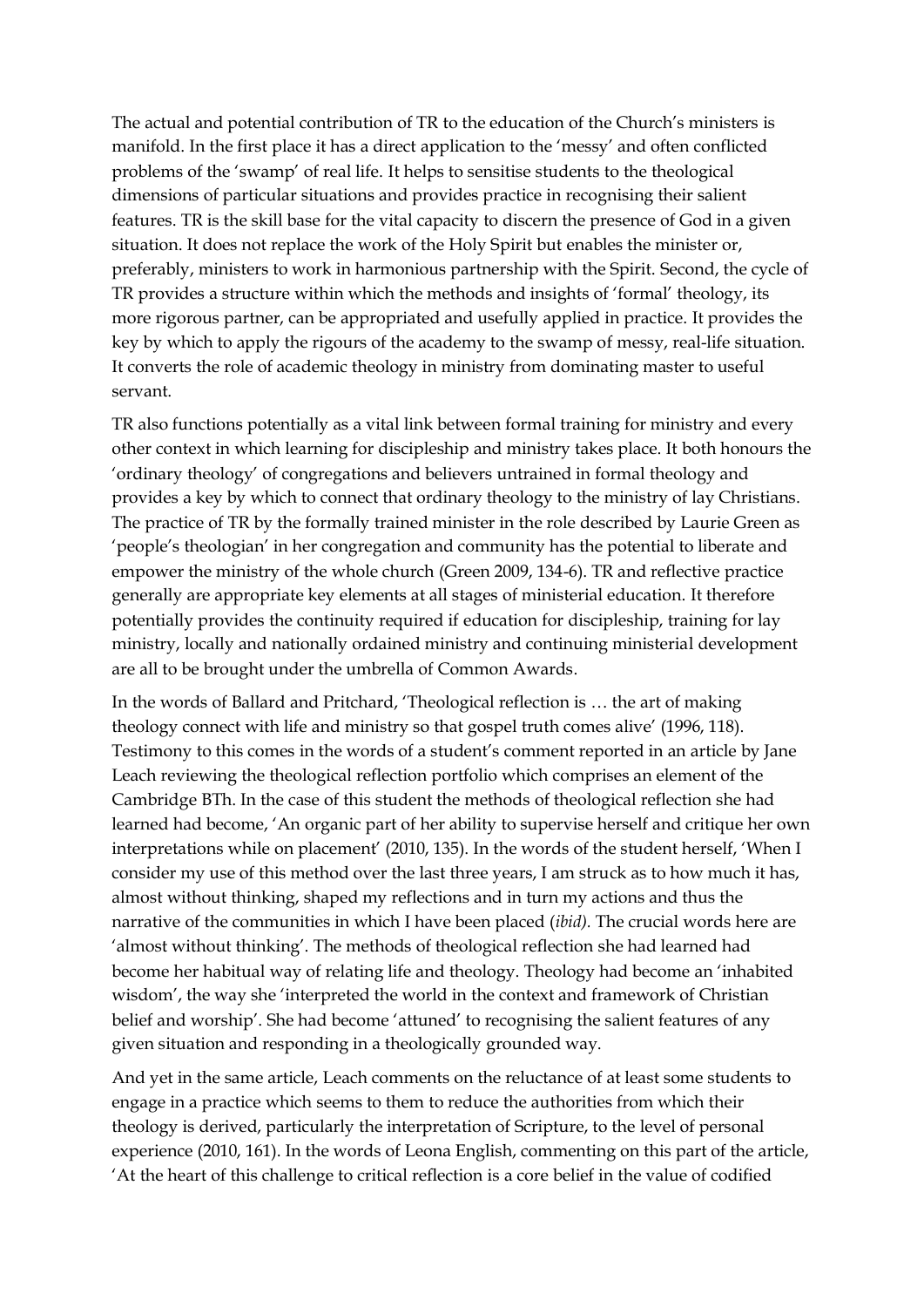The actual and potential contribution of TR to the education of the Church's ministers is manifold. In the first place it has a direct application to the 'messy' and often conflicted problems of the 'swamp' of real life. It helps to sensitise students to the theological dimensions of particular situations and provides practice in recognising their salient features. TR is the skill base for the vital capacity to discern the presence of God in a given situation. It does not replace the work of the Holy Spirit but enables the minister or, preferably, ministers to work in harmonious partnership with the Spirit. Second, the cycle of TR provides a structure within which the methods and insights of 'formal' theology, its more rigorous partner, can be appropriated and usefully applied in practice. It provides the key by which to apply the rigours of the academy to the swamp of messy, real-life situation. It converts the role of academic theology in ministry from dominating master to useful servant.

TR also functions potentially as a vital link between formal training for ministry and every other context in which learning for discipleship and ministry takes place. It both honours the 'ordinary theology' of congregations and believers untrained in formal theology and provides a key by which to connect that ordinary theology to the ministry of lay Christians. The practice of TR by the formally trained minister in the role described by Laurie Green as 'people's theologian' in her congregation and community has the potential to liberate and empower the ministry of the whole church (Green 2009, 134-6). TR and reflective practice generally are appropriate key elements at all stages of ministerial education. It therefore potentially provides the continuity required if education for discipleship, training for lay ministry, locally and nationally ordained ministry and continuing ministerial development are all to be brought under the umbrella of Common Awards.

In the words of Ballard and Pritchard, 'Theological reflection is … the art of making theology connect with life and ministry so that gospel truth comes alive' (1996, 118). Testimony to this comes in the words of a student's comment reported in an article by Jane Leach reviewing the theological reflection portfolio which comprises an element of the Cambridge BTh. In the case of this student the methods of theological reflection she had learned had become, 'An organic part of her ability to supervise herself and critique her own interpretations while on placement' (2010, 135). In the words of the student herself, 'When I consider my use of this method over the last three years, I am struck as to how much it has, almost without thinking, shaped my reflections and in turn my actions and thus the narrative of the communities in which I have been placed (*ibid).* The crucial words here are 'almost without thinking'. The methods of theological reflection she had learned had become her habitual way of relating life and theology. Theology had become an 'inhabited wisdom', the way she 'interpreted the world in the context and framework of Christian belief and worship'. She had become 'attuned' to recognising the salient features of any given situation and responding in a theologically grounded way.

And yet in the same article, Leach comments on the reluctance of at least some students to engage in a practice which seems to them to reduce the authorities from which their theology is derived, particularly the interpretation of Scripture, to the level of personal experience (2010, 161). In the words of Leona English, commenting on this part of the article, 'At the heart of this challenge to critical reflection is a core belief in the value of codified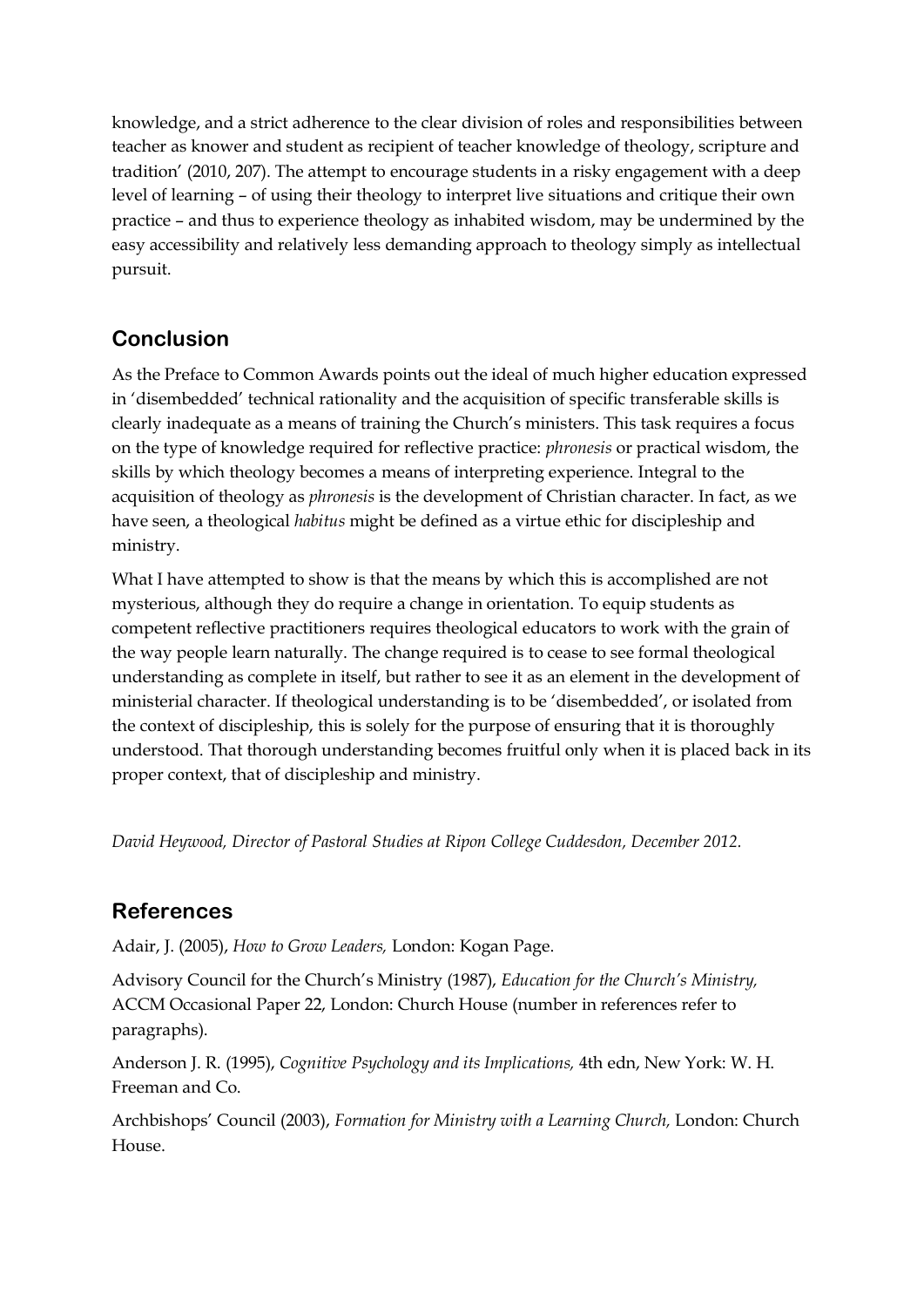knowledge, and a strict adherence to the clear division of roles and responsibilities between teacher as knower and student as recipient of teacher knowledge of theology, scripture and tradition' (2010, 207). The attempt to encourage students in a risky engagement with a deep level of learning – of using their theology to interpret live situations and critique their own practice – and thus to experience theology as inhabited wisdom, may be undermined by the easy accessibility and relatively less demanding approach to theology simply as intellectual pursuit.

# **Conclusion**

As the Preface to Common Awards points out the ideal of much higher education expressed in 'disembedded' technical rationality and the acquisition of specific transferable skills is clearly inadequate as a means of training the Church's ministers. This task requires a focus on the type of knowledge required for reflective practice: *phronesis* or practical wisdom, the skills by which theology becomes a means of interpreting experience. Integral to the acquisition of theology as *phronesis* is the development of Christian character. In fact, as we have seen, a theological *habitus* might be defined as a virtue ethic for discipleship and ministry.

What I have attempted to show is that the means by which this is accomplished are not mysterious, although they do require a change in orientation. To equip students as competent reflective practitioners requires theological educators to work with the grain of the way people learn naturally. The change required is to cease to see formal theological understanding as complete in itself, but rather to see it as an element in the development of ministerial character. If theological understanding is to be 'disembedded', or isolated from the context of discipleship, this is solely for the purpose of ensuring that it is thoroughly understood. That thorough understanding becomes fruitful only when it is placed back in its proper context, that of discipleship and ministry.

*David Heywood, Director of Pastoral Studies at Ripon College Cuddesdon, December 2012.*

# **References**

Adair, J. (2005), *How to Grow Leaders,* London: Kogan Page.

Advisory Council for the Church's Ministry (1987), *Education for the Church's Ministry,*  ACCM Occasional Paper 22, London: Church House (number in references refer to paragraphs).

Anderson J. R. (1995), *Cognitive Psychology and its Implications,* 4th edn, New York: W. H. Freeman and Co.

Archbishops' Council (2003), *Formation for Ministry with a Learning Church,* London: Church House.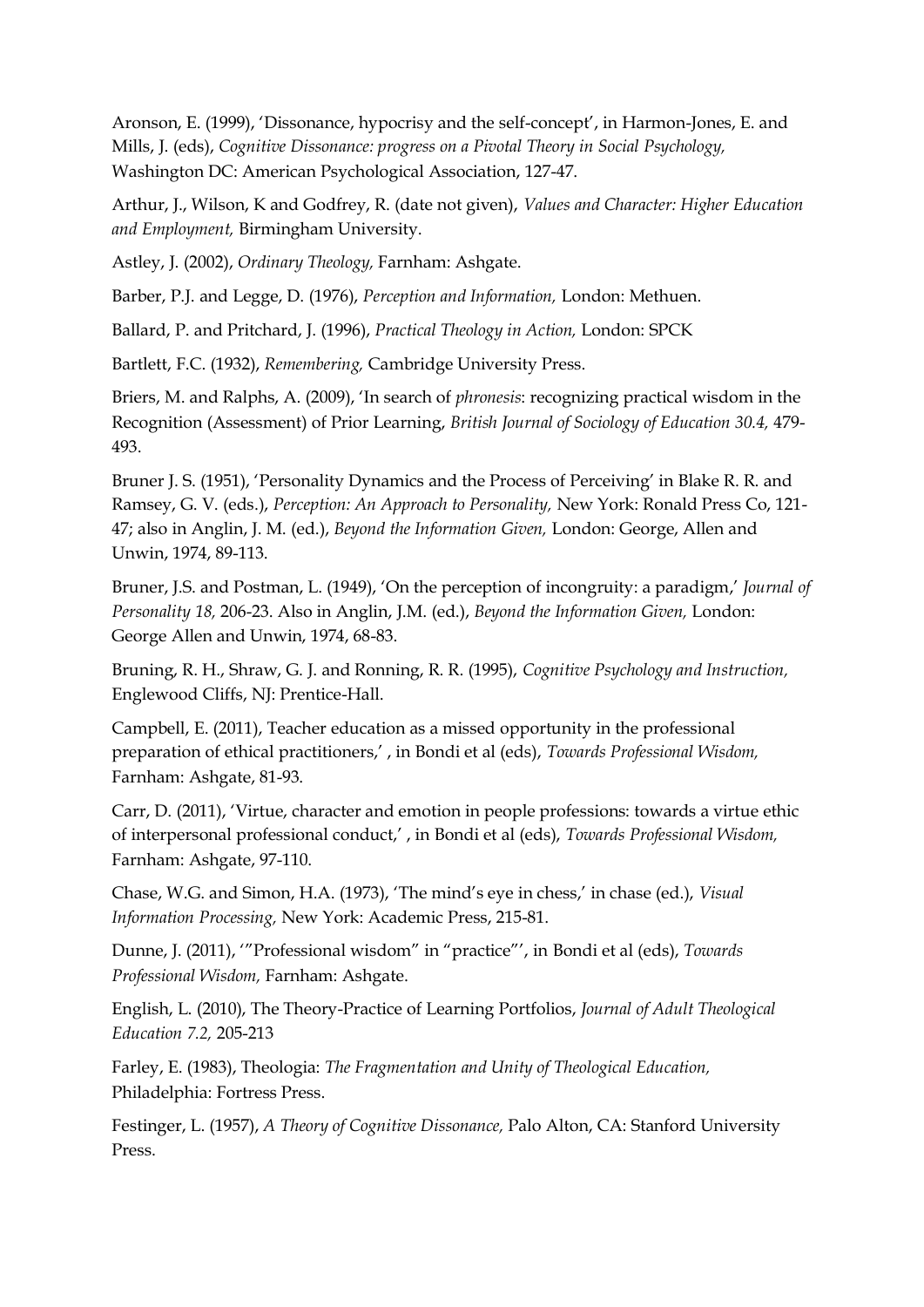Aronson, E. (1999), 'Dissonance, hypocrisy and the self-concept', in Harmon-Jones, E. and Mills, J. (eds), *Cognitive Dissonance: progress on a Pivotal Theory in Social Psychology,*  Washington DC: American Psychological Association, 127-47.

Arthur, J., Wilson, K and Godfrey, R. (date not given), *Values and Character: Higher Education and Employment,* Birmingham University.

Astley, J. (2002), *Ordinary Theology,* Farnham: Ashgate.

Barber, P.J. and Legge, D. (1976), *Perception and Information,* London: Methuen.

Ballard, P. and Pritchard, J. (1996), *Practical Theology in Action,* London: SPCK

Bartlett, F.C. (1932), *Remembering,* Cambridge University Press.

Briers, M. and Ralphs, A. (2009), 'In search of *phronesis*: recognizing practical wisdom in the Recognition (Assessment) of Prior Learning, *British Journal of Sociology of Education 30.4,* 479- 493.

Bruner J. S. (1951), 'Personality Dynamics and the Process of Perceiving' in Blake R. R. and Ramsey, G. V. (eds.), *Perception: An Approach to Personality,* New York: Ronald Press Co, 121- 47; also in Anglin, J. M. (ed.), *Beyond the Information Given,* London: George, Allen and Unwin, 1974, 89-113.

Bruner, J.S. and Postman, L. (1949), 'On the perception of incongruity: a paradigm,' *Journal of Personality 18,* 206-23. Also in Anglin, J.M. (ed.), *Beyond the Information Given,* London: George Allen and Unwin, 1974, 68-83.

Bruning, R. H., Shraw, G. J. and Ronning, R. R. (1995), *Cognitive Psychology and Instruction,* Englewood Cliffs, NJ: Prentice-Hall.

Campbell, E. (2011), Teacher education as a missed opportunity in the professional preparation of ethical practitioners,' , in Bondi et al (eds), *Towards Professional Wisdom,*  Farnham: Ashgate, 81-93.

Carr, D. (2011), 'Virtue, character and emotion in people professions: towards a virtue ethic of interpersonal professional conduct,' , in Bondi et al (eds), *Towards Professional Wisdom,*  Farnham: Ashgate, 97-110.

Chase, W.G. and Simon, H.A. (1973), 'The mind's eye in chess,' in chase (ed.), *Visual Information Processing,* New York: Academic Press, 215-81.

Dunne, J. (2011), '"Professional wisdom" in "practice"', in Bondi et al (eds), *Towards Professional Wisdom,* Farnham: Ashgate.

English, L. (2010), The Theory-Practice of Learning Portfolios, *Journal of Adult Theological Education 7.2,* 205-213

Farley, E. (1983), Theologia: *The Fragmentation and Unity of Theological Education,*  Philadelphia: Fortress Press.

Festinger, L. (1957), *A Theory of Cognitive Dissonance,* Palo Alton, CA: Stanford University Press.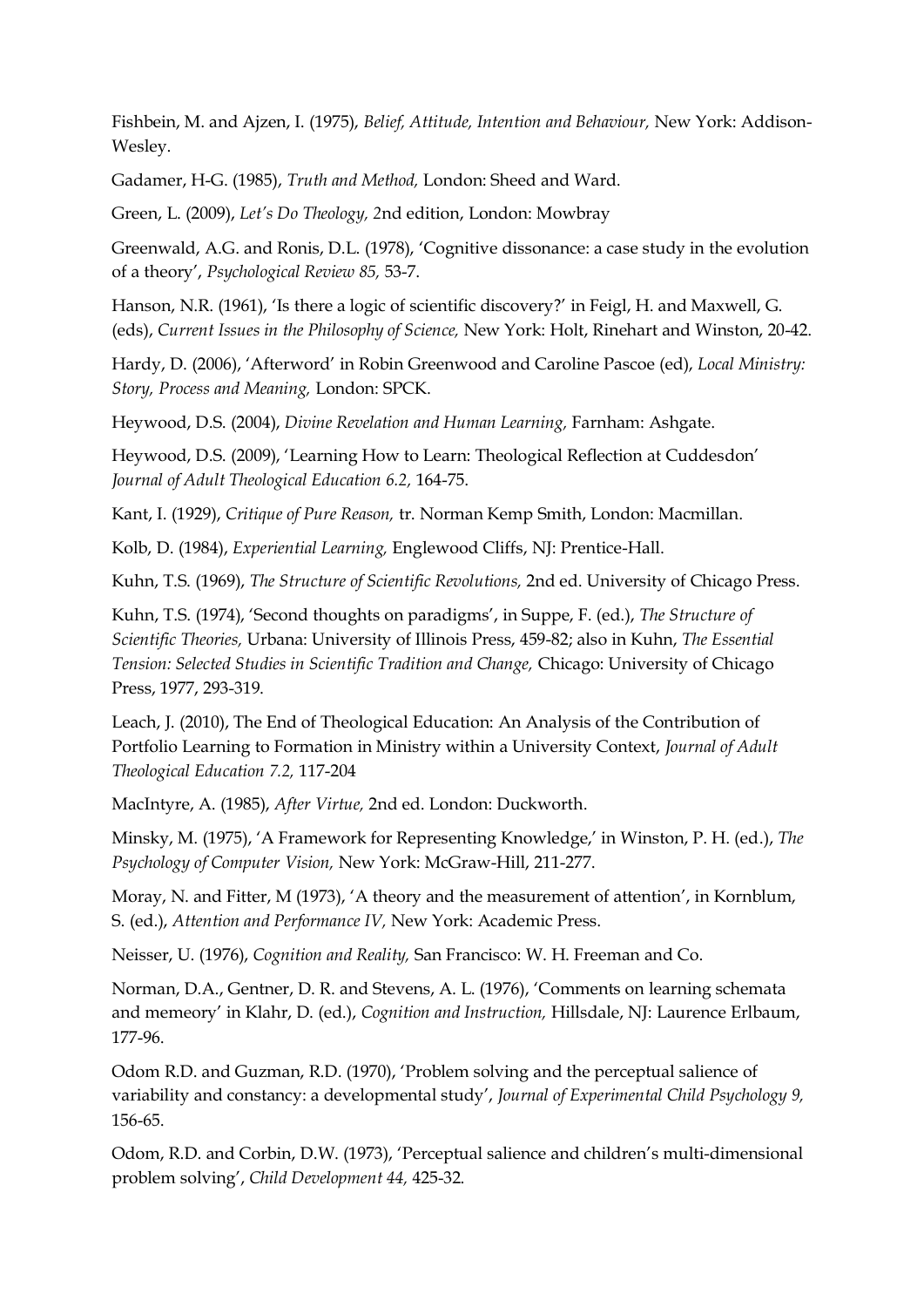Fishbein, M. and Ajzen, I. (1975), *Belief, Attitude, Intention and Behaviour,* New York: Addison-Wesley.

Gadamer, H-G. (1985), *Truth and Method,* London: Sheed and Ward.

Green, L. (2009), *Let's Do Theology, 2*nd edition, London: Mowbray

Greenwald, A.G. and Ronis, D.L. (1978), 'Cognitive dissonance: a case study in the evolution of a theory', *Psychological Review 85,* 53-7.

Hanson, N.R. (1961), 'Is there a logic of scientific discovery?' in Feigl, H. and Maxwell, G. (eds), *Current Issues in the Philosophy of Science,* New York: Holt, Rinehart and Winston, 20-42.

Hardy, D. (2006), 'Afterword' in Robin Greenwood and Caroline Pascoe (ed), *Local Ministry: Story, Process and Meaning,* London: SPCK.

Heywood, D.S. (2004), *Divine Revelation and Human Learning,* Farnham: Ashgate.

Heywood, D.S. (2009), 'Learning How to Learn: Theological Reflection at Cuddesdon' *Journal of Adult Theological Education 6.2,* 164-75.

Kant, I. (1929), *Critique of Pure Reason,* tr. Norman Kemp Smith, London: Macmillan.

Kolb, D. (1984), *Experiential Learning,* Englewood Cliffs, NJ: Prentice-Hall.

Kuhn, T.S. (1969), *The Structure of Scientific Revolutions,* 2nd ed. University of Chicago Press.

Kuhn, T.S. (1974), 'Second thoughts on paradigms', in Suppe, F. (ed.), *The Structure of Scientific Theories,* Urbana: University of Illinois Press, 459-82; also in Kuhn, *The Essential Tension: Selected Studies in Scientific Tradition and Change,* Chicago: University of Chicago Press, 1977, 293-319.

Leach, J. (2010), The End of Theological Education: An Analysis of the Contribution of Portfolio Learning to Formation in Ministry within a University Context, *Journal of Adult Theological Education 7.2,* 117-204

MacIntyre, A. (1985), *After Virtue,* 2nd ed. London: Duckworth.

Minsky, M. (1975), 'A Framework for Representing Knowledge,' in Winston, P. H. (ed.), *The Psychology of Computer Vision,* New York: McGraw-Hill, 211-277.

Moray, N. and Fitter, M (1973), 'A theory and the measurement of attention', in Kornblum, S. (ed.), *Attention and Performance IV,* New York: Academic Press.

Neisser, U. (1976), *Cognition and Reality,* San Francisco: W. H. Freeman and Co.

Norman, D.A., Gentner, D. R. and Stevens, A. L. (1976), 'Comments on learning schemata and memeory' in Klahr, D. (ed.), *Cognition and Instruction,* Hillsdale, NJ: Laurence Erlbaum, 177-96.

Odom R.D. and Guzman, R.D. (1970), 'Problem solving and the perceptual salience of variability and constancy: a developmental study', *Journal of Experimental Child Psychology 9,*  156-65.

Odom, R.D. and Corbin, D.W. (1973), 'Perceptual salience and children's multi-dimensional problem solving', *Child Development 44,* 425-32.